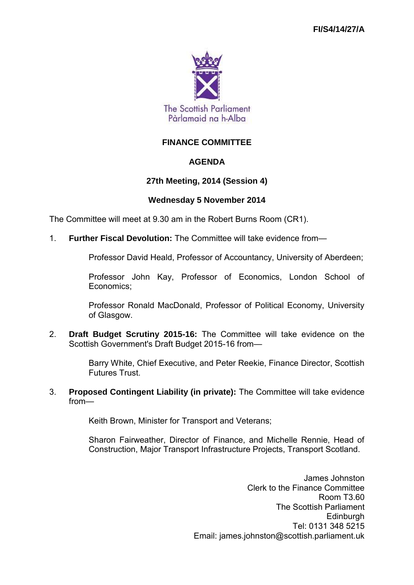

# **FINANCE COMMITTEE**

### **AGENDA**

### **27th Meeting, 2014 (Session 4)**

#### **Wednesday 5 November 2014**

The Committee will meet at 9.30 am in the Robert Burns Room (CR1).

1. **Further Fiscal Devolution:** The Committee will take evidence from—

Professor David Heald, Professor of Accountancy, University of Aberdeen;

Professor John Kay, Professor of Economics, London School of Economics;

Professor Ronald MacDonald, Professor of Political Economy, University of Glasgow.

2. **Draft Budget Scrutiny 2015-16:** The Committee will take evidence on the Scottish Government's Draft Budget 2015-16 from—

> Barry White, Chief Executive, and Peter Reekie, Finance Director, Scottish Futures Trust.

3. **Proposed Contingent Liability (in private):** The Committee will take evidence from—

Keith Brown, Minister for Transport and Veterans;

Sharon Fairweather, Director of Finance, and Michelle Rennie, Head of Construction, Major Transport Infrastructure Projects, Transport Scotland.

> James Johnston Clerk to the Finance Committee Room T3.60 The Scottish Parliament **Edinburgh** Tel: 0131 348 5215 Email: james.johnston@scottish.parliament.uk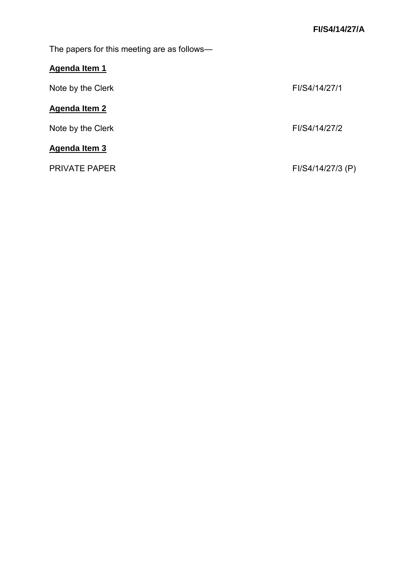The papers for this meeting are as follows—

# **Agenda Item 1**

| Note by the Clerk    | FI/S4/14/27/1     |
|----------------------|-------------------|
| <b>Agenda Item 2</b> |                   |
| Note by the Clerk    | FI/S4/14/27/2     |
| <b>Agenda Item 3</b> |                   |
| <b>PRIVATE PAPER</b> | FI/S4/14/27/3 (P) |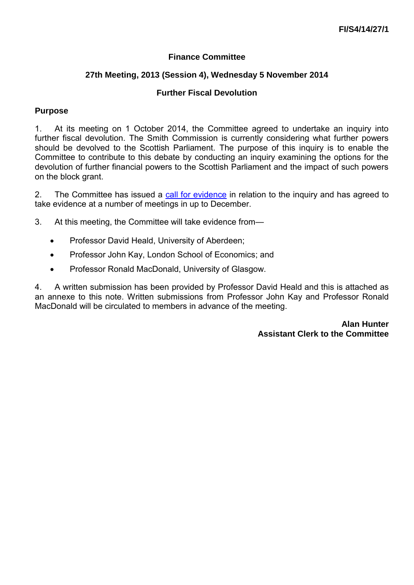# **Finance Committee**

# **27th Meeting, 2013 (Session 4), Wednesday 5 November 2014**

# **Further Fiscal Devolution**

### **Purpose**

1. At its meeting on 1 October 2014, the Committee agreed to undertake an inquiry into further fiscal devolution. The Smith Commission is currently considering what further powers should be devolved to the Scottish Parliament. The purpose of this inquiry is to enable the Committee to contribute to this debate by conducting an inquiry examining the options for the devolution of further financial powers to the Scottish Parliament and the impact of such powers on the block grant.

2. The Committee has issued a [call for evidence](http://www.scottish.parliament.uk/parliamentarybusiness/CurrentCommittees/82244.aspx) in relation to the inquiry and has agreed to take evidence at a number of meetings in up to December.

3. At this meeting, the Committee will take evidence from—

- Professor David Heald, University of Aberdeen:
- Professor John Kay, London School of Economics; and
- Professor Ronald MacDonald, University of Glasgow.

4. A written submission has been provided by Professor David Heald and this is attached as an annexe to this note. Written submissions from Professor John Kay and Professor Ronald MacDonald will be circulated to members in advance of the meeting.

> **Alan Hunter Assistant Clerk to the Committee**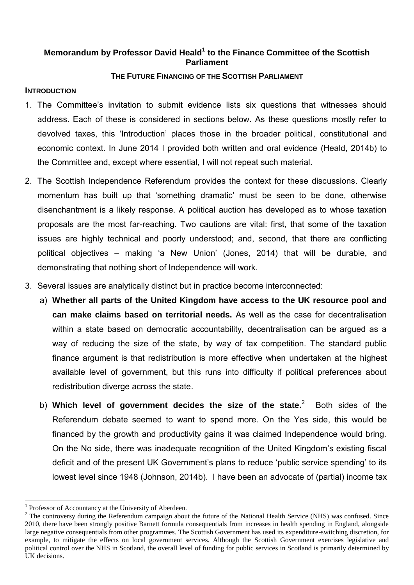### **Memorandum by Professor David Heald<sup>1</sup> to the Finance Committee of the Scottish Parliament**

### **THE FUTURE FINANCING OF THE SCOTTISH PARLIAMENT**

#### **INTRODUCTION**

- 1. The Committee's invitation to submit evidence lists six questions that witnesses should address. Each of these is considered in sections below. As these questions mostly refer to devolved taxes, this 'Introduction' places those in the broader political, constitutional and economic context. In June 2014 I provided both written and oral evidence (Heald, 2014b) to the Committee and, except where essential, I will not repeat such material.
- 2. The Scottish Independence Referendum provides the context for these discussions. Clearly momentum has built up that 'something dramatic' must be seen to be done, otherwise disenchantment is a likely response. A political auction has developed as to whose taxation proposals are the most far-reaching. Two cautions are vital: first, that some of the taxation issues are highly technical and poorly understood; and, second, that there are conflicting political objectives – making 'a New Union' (Jones, 2014) that will be durable, and demonstrating that nothing short of Independence will work.
- 3. Several issues are analytically distinct but in practice become interconnected:
	- a) **Whether all parts of the United Kingdom have access to the UK resource pool and can make claims based on territorial needs.** As well as the case for decentralisation within a state based on democratic accountability, decentralisation can be argued as a way of reducing the size of the state, by way of tax competition. The standard public finance argument is that redistribution is more effective when undertaken at the highest available level of government, but this runs into difficulty if political preferences about redistribution diverge across the state.
	- b) Which level of government decides the size of the state.<sup>2</sup> Both sides of the Referendum debate seemed to want to spend more. On the Yes side, this would be financed by the growth and productivity gains it was claimed Independence would bring. On the No side, there was inadequate recognition of the United Kingdom's existing fiscal deficit and of the present UK Government's plans to reduce 'public service spending' to its lowest level since 1948 (Johnson, 2014b). I have been an advocate of (partial) income tax

<sup>&</sup>lt;sup>1</sup> Professor of Accountancy at the University of Aberdeen.

 $2$  The controversy during the Referendum campaign about the future of the National Health Service (NHS) was confused. Since 2010, there have been strongly positive Barnett formula consequentials from increases in health spending in England, alongside large negative consequentials from other programmes. The Scottish Government has used its expenditure-switching discretion, for example, to mitigate the effects on local government services. Although the Scottish Government exercises legislative and political control over the NHS in Scotland, the overall level of funding for public services in Scotland is primarily determined by UK decisions.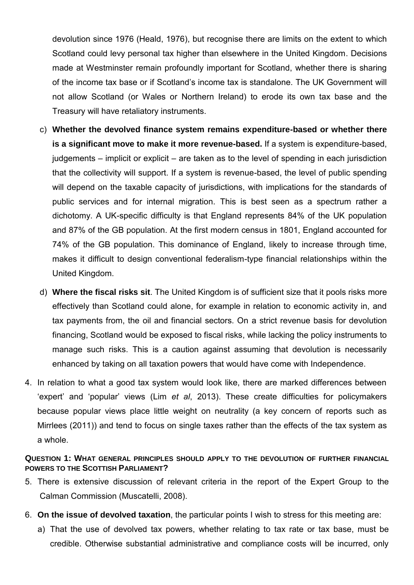devolution since 1976 (Heald, 1976), but recognise there are limits on the extent to which Scotland could levy personal tax higher than elsewhere in the United Kingdom. Decisions made at Westminster remain profoundly important for Scotland, whether there is sharing of the income tax base or if Scotland's income tax is standalone. The UK Government will not allow Scotland (or Wales or Northern Ireland) to erode its own tax base and the Treasury will have retaliatory instruments.

- c) **Whether the devolved finance system remains expenditure-based or whether there is a significant move to make it more revenue-based.** If a system is expenditure-based, judgements – implicit or explicit – are taken as to the level of spending in each jurisdiction that the collectivity will support. If a system is revenue-based, the level of public spending will depend on the taxable capacity of jurisdictions, with implications for the standards of public services and for internal migration. This is best seen as a spectrum rather a dichotomy. A UK-specific difficulty is that England represents 84% of the UK population and 87% of the GB population. At the first modern census in 1801, England accounted for 74% of the GB population. This dominance of England, likely to increase through time, makes it difficult to design conventional federalism-type financial relationships within the United Kingdom.
- d) **Where the fiscal risks sit**. The United Kingdom is of sufficient size that it pools risks more effectively than Scotland could alone, for example in relation to economic activity in, and tax payments from, the oil and financial sectors. On a strict revenue basis for devolution financing, Scotland would be exposed to fiscal risks, while lacking the policy instruments to manage such risks. This is a caution against assuming that devolution is necessarily enhanced by taking on all taxation powers that would have come with Independence.
- 4. In relation to what a good tax system would look like, there are marked differences between 'expert' and 'popular' views (Lim *et al*, 2013). These create difficulties for policymakers because popular views place little weight on neutrality (a key concern of reports such as Mirrlees (2011)) and tend to focus on single taxes rather than the effects of the tax system as a whole.

#### **QUESTION 1: WHAT GENERAL PRINCIPLES SHOULD APPLY TO THE DEVOLUTION OF FURTHER FINANCIAL POWERS TO THE SCOTTISH PARLIAMENT?**

- 5. There is extensive discussion of relevant criteria in the report of the Expert Group to the Calman Commission (Muscatelli, 2008).
- 6. **On the issue of devolved taxation**, the particular points I wish to stress for this meeting are:
	- a) That the use of devolved tax powers, whether relating to tax rate or tax base, must be credible. Otherwise substantial administrative and compliance costs will be incurred, only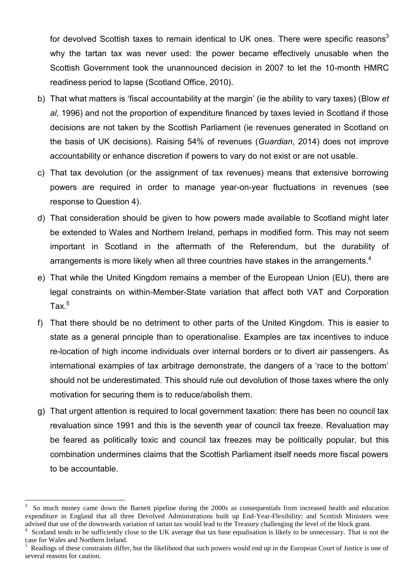for devolved Scottish taxes to remain identical to UK ones. There were specific reasons<sup>3</sup> why the tartan tax was never used: the power became effectively unusable when the Scottish Government took the unannounced decision in 2007 to let the 10-month HMRC readiness period to lapse (Scotland Office, 2010).

- b) That what matters is 'fiscal accountability at the margin' (ie the ability to vary taxes) (Blow *et al*, 1996) and not the proportion of expenditure financed by taxes levied in Scotland if those decisions are not taken by the Scottish Parliament (ie revenues generated in Scotland on the basis of UK decisions). Raising 54% of revenues (*Guardian*, 2014) does not improve accountability or enhance discretion if powers to vary do not exist or are not usable.
- c) That tax devolution (or the assignment of tax revenues) means that extensive borrowing powers are required in order to manage year-on-year fluctuations in revenues (see response to Question 4).
- d) That consideration should be given to how powers made available to Scotland might later be extended to Wales and Northern Ireland, perhaps in modified form. This may not seem important in Scotland in the aftermath of the Referendum, but the durability of arrangements is more likely when all three countries have stakes in the arrangements.<sup>4</sup>
- e) That while the United Kingdom remains a member of the European Union (EU), there are legal constraints on within-Member-State variation that affect both VAT and Corporation Tax. $^5$
- f) That there should be no detriment to other parts of the United Kingdom. This is easier to state as a general principle than to operationalise. Examples are tax incentives to induce re-location of high income individuals over internal borders or to divert air passengers. As international examples of tax arbitrage demonstrate, the dangers of a 'race to the bottom' should not be underestimated. This should rule out devolution of those taxes where the only motivation for securing them is to reduce/abolish them.
- g) That urgent attention is required to local government taxation: there has been no council tax revaluation since 1991 and this is the seventh year of council tax freeze. Revaluation may be feared as politically toxic and council tax freezes may be politically popular, but this combination undermines claims that the Scottish Parliament itself needs more fiscal powers to be accountable.

<sup>3</sup> So much money came down the Barnett pipeline during the 2000s as consequentials from increased health and education expenditure in England that all three Devolved Administrations built up End-Year-Flexibility; and Scottish Ministers were advised that use of the downwards variation of tartan tax would lead to the Treasury challenging the level of the block grant.

<sup>&</sup>lt;sup>4</sup> Scotland tends to be sufficiently close to the UK average that tax base equalisation is likely to be unnecessary. That is not the case for Wales and Northern Ireland.

<sup>5</sup> Readings of these constraints differ, but the likelihood that such powers would end up in the European Court of Justice is one of several reasons for caution.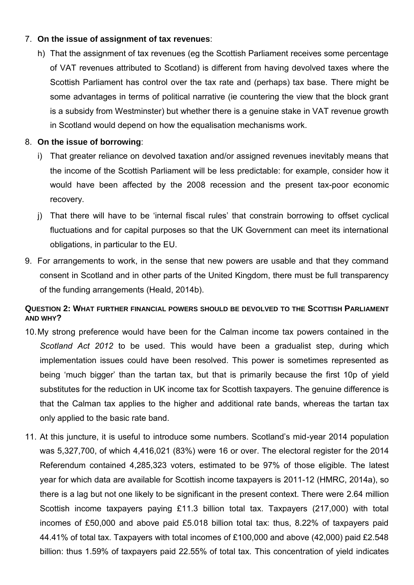### 7. **On the issue of assignment of tax revenues**:

h) That the assignment of tax revenues (eg the Scottish Parliament receives some percentage of VAT revenues attributed to Scotland) is different from having devolved taxes where the Scottish Parliament has control over the tax rate and (perhaps) tax base. There might be some advantages in terms of political narrative (ie countering the view that the block grant is a subsidy from Westminster) but whether there is a genuine stake in VAT revenue growth in Scotland would depend on how the equalisation mechanisms work.

# 8. **On the issue of borrowing**:

- i) That greater reliance on devolved taxation and/or assigned revenues inevitably means that the income of the Scottish Parliament will be less predictable: for example, consider how it would have been affected by the 2008 recession and the present tax-poor economic recovery.
- j) That there will have to be 'internal fiscal rules' that constrain borrowing to offset cyclical fluctuations and for capital purposes so that the UK Government can meet its international obligations, in particular to the EU.
- 9. For arrangements to work, in the sense that new powers are usable and that they command consent in Scotland and in other parts of the United Kingdom, there must be full transparency of the funding arrangements (Heald, 2014b).

# **QUESTION 2: WHAT FURTHER FINANCIAL POWERS SHOULD BE DEVOLVED TO THE SCOTTISH PARLIAMENT AND WHY?**

- 10. My strong preference would have been for the Calman income tax powers contained in the *Scotland Act 2012* to be used. This would have been a gradualist step, during which implementation issues could have been resolved. This power is sometimes represented as being 'much bigger' than the tartan tax, but that is primarily because the first 10p of yield substitutes for the reduction in UK income tax for Scottish taxpayers. The genuine difference is that the Calman tax applies to the higher and additional rate bands, whereas the tartan tax only applied to the basic rate band.
- 11. At this juncture, it is useful to introduce some numbers. Scotland's mid-year 2014 population was 5,327,700, of which 4,416,021 (83%) were 16 or over. The electoral register for the 2014 Referendum contained 4,285,323 voters, estimated to be 97% of those eligible. The latest year for which data are available for Scottish income taxpayers is 2011-12 (HMRC, 2014a), so there is a lag but not one likely to be significant in the present context. There were 2.64 million Scottish income taxpayers paying £11.3 billion total tax. Taxpayers (217,000) with total incomes of £50,000 and above paid £5.018 billion total tax: thus, 8.22% of taxpayers paid 44.41% of total tax. Taxpayers with total incomes of £100,000 and above (42,000) paid £2.548 billion: thus 1.59% of taxpayers paid 22.55% of total tax. This concentration of yield indicates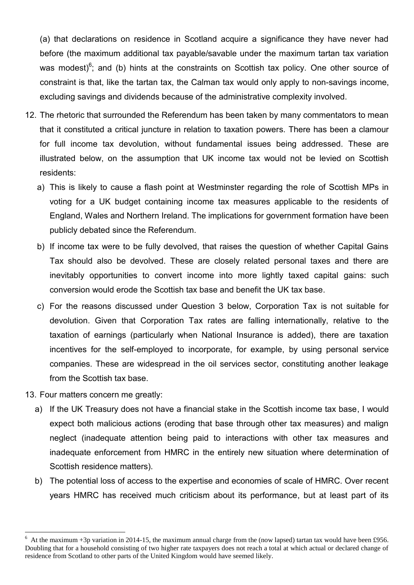(a) that declarations on residence in Scotland acquire a significance they have never had before (the maximum additional tax payable/savable under the maximum tartan tax variation was modest)<sup>6</sup>; and (b) hints at the constraints on Scottish tax policy. One other source of constraint is that, like the tartan tax, the Calman tax would only apply to non-savings income, excluding savings and dividends because of the administrative complexity involved.

- 12. The rhetoric that surrounded the Referendum has been taken by many commentators to mean that it constituted a critical juncture in relation to taxation powers. There has been a clamour for full income tax devolution, without fundamental issues being addressed. These are illustrated below, on the assumption that UK income tax would not be levied on Scottish residents:
	- a) This is likely to cause a flash point at Westminster regarding the role of Scottish MPs in voting for a UK budget containing income tax measures applicable to the residents of England, Wales and Northern Ireland. The implications for government formation have been publicly debated since the Referendum.
	- b) If income tax were to be fully devolved, that raises the question of whether Capital Gains Tax should also be devolved. These are closely related personal taxes and there are inevitably opportunities to convert income into more lightly taxed capital gains: such conversion would erode the Scottish tax base and benefit the UK tax base.
	- c) For the reasons discussed under Question 3 below, Corporation Tax is not suitable for devolution. Given that Corporation Tax rates are falling internationally, relative to the taxation of earnings (particularly when National Insurance is added), there are taxation incentives for the self-employed to incorporate, for example, by using personal service companies. These are widespread in the oil services sector, constituting another leakage from the Scottish tax base.
- 13. Four matters concern me greatly:

- a) If the UK Treasury does not have a financial stake in the Scottish income tax base, I would expect both malicious actions (eroding that base through other tax measures) and malign neglect (inadequate attention being paid to interactions with other tax measures and inadequate enforcement from HMRC in the entirely new situation where determination of Scottish residence matters).
- b) The potential loss of access to the expertise and economies of scale of HMRC. Over recent years HMRC has received much criticism about its performance, but at least part of its

 $6$  At the maximum +3p variation in 2014-15, the maximum annual charge from the (now lapsed) tartan tax would have been £956. Doubling that for a household consisting of two higher rate taxpayers does not reach a total at which actual or declared change of residence from Scotland to other parts of the United Kingdom would have seemed likely.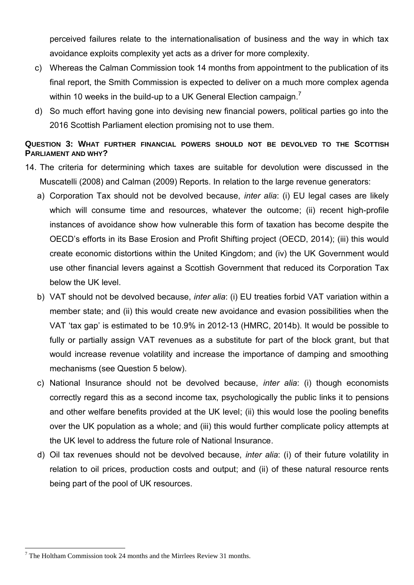perceived failures relate to the internationalisation of business and the way in which tax avoidance exploits complexity yet acts as a driver for more complexity.

- c) Whereas the Calman Commission took 14 months from appointment to the publication of its final report, the Smith Commission is expected to deliver on a much more complex agenda within 10 weeks in the build-up to a UK General Election campaign.<sup>7</sup>
- d) So much effort having gone into devising new financial powers, political parties go into the 2016 Scottish Parliament election promising not to use them.

## **QUESTION 3: WHAT FURTHER FINANCIAL POWERS SHOULD NOT BE DEVOLVED TO THE SCOTTISH PARLIAMENT AND WHY?**

- 14. The criteria for determining which taxes are suitable for devolution were discussed in the Muscatelli (2008) and Calman (2009) Reports. In relation to the large revenue generators:
	- a) Corporation Tax should not be devolved because, *inter alia*: (i) EU legal cases are likely which will consume time and resources, whatever the outcome; (ii) recent high-profile instances of avoidance show how vulnerable this form of taxation has become despite the OECD's efforts in its Base Erosion and Profit Shifting project (OECD, 2014); (iii) this would create economic distortions within the United Kingdom; and (iv) the UK Government would use other financial levers against a Scottish Government that reduced its Corporation Tax below the UK level.
	- b) VAT should not be devolved because, *inter alia*: (i) EU treaties forbid VAT variation within a member state; and (ii) this would create new avoidance and evasion possibilities when the VAT 'tax gap' is estimated to be 10.9% in 2012-13 (HMRC, 2014b). It would be possible to fully or partially assign VAT revenues as a substitute for part of the block grant, but that would increase revenue volatility and increase the importance of damping and smoothing mechanisms (see Question 5 below).
	- c) National Insurance should not be devolved because, *inter alia*: (i) though economists correctly regard this as a second income tax, psychologically the public links it to pensions and other welfare benefits provided at the UK level; (ii) this would lose the pooling benefits over the UK population as a whole; and (iii) this would further complicate policy attempts at the UK level to address the future role of National Insurance.
	- d) Oil tax revenues should not be devolved because, *inter alia*: (i) of their future volatility in relation to oil prices, production costs and output; and (ii) of these natural resource rents being part of the pool of UK resources.

 $7$  The Holtham Commission took 24 months and the Mirrlees Review 31 months.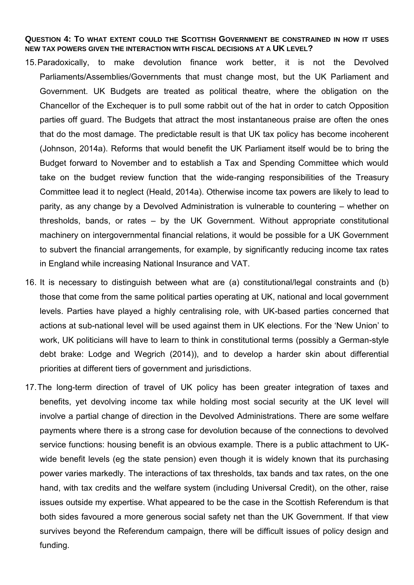#### **QUESTION 4: TO WHAT EXTENT COULD THE SCOTTISH GOVERNMENT BE CONSTRAINED IN HOW IT USES NEW TAX POWERS GIVEN THE INTERACTION WITH FISCAL DECISIONS AT A UK LEVEL?**

- 15. Paradoxically, to make devolution finance work better, it is not the Devolved Parliaments/Assemblies/Governments that must change most, but the UK Parliament and Government. UK Budgets are treated as political theatre, where the obligation on the Chancellor of the Exchequer is to pull some rabbit out of the hat in order to catch Opposition parties off guard. The Budgets that attract the most instantaneous praise are often the ones that do the most damage. The predictable result is that UK tax policy has become incoherent (Johnson, 2014a). Reforms that would benefit the UK Parliament itself would be to bring the Budget forward to November and to establish a Tax and Spending Committee which would take on the budget review function that the wide-ranging responsibilities of the Treasury Committee lead it to neglect (Heald, 2014a). Otherwise income tax powers are likely to lead to parity, as any change by a Devolved Administration is vulnerable to countering – whether on thresholds, bands, or rates – by the UK Government. Without appropriate constitutional machinery on intergovernmental financial relations, it would be possible for a UK Government to subvert the financial arrangements, for example, by significantly reducing income tax rates in England while increasing National Insurance and VAT.
- 16. It is necessary to distinguish between what are (a) constitutional/legal constraints and (b) those that come from the same political parties operating at UK, national and local government levels. Parties have played a highly centralising role, with UK-based parties concerned that actions at sub-national level will be used against them in UK elections. For the 'New Union' to work, UK politicians will have to learn to think in constitutional terms (possibly a German-style debt brake: Lodge and Wegrich (2014)), and to develop a harder skin about differential priorities at different tiers of government and jurisdictions.
- 17. The long-term direction of travel of UK policy has been greater integration of taxes and benefits, yet devolving income tax while holding most social security at the UK level will involve a partial change of direction in the Devolved Administrations. There are some welfare payments where there is a strong case for devolution because of the connections to devolved service functions: housing benefit is an obvious example. There is a public attachment to UKwide benefit levels (eg the state pension) even though it is widely known that its purchasing power varies markedly. The interactions of tax thresholds, tax bands and tax rates, on the one hand, with tax credits and the welfare system (including Universal Credit), on the other, raise issues outside my expertise. What appeared to be the case in the Scottish Referendum is that both sides favoured a more generous social safety net than the UK Government. If that view survives beyond the Referendum campaign, there will be difficult issues of policy design and funding.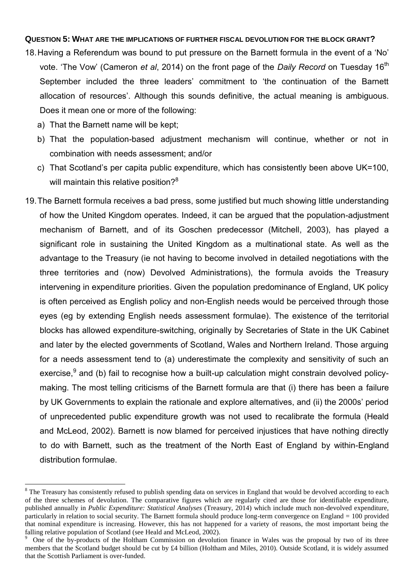#### **QUESTION 5: WHAT ARE THE IMPLICATIONS OF FURTHER FISCAL DEVOLUTION FOR THE BLOCK GRANT?**

- 18. Having a Referendum was bound to put pressure on the Barnett formula in the event of a 'No' vote. 'The Vow' (Cameron *et al*, 2014) on the front page of the *Daily Record* on Tuesday 16<sup>th</sup> September included the three leaders' commitment to 'the continuation of the Barnett allocation of resources'. Although this sounds definitive, the actual meaning is ambiguous. Does it mean one or more of the following:
	- a) That the Barnett name will be kept;

<u>.</u>

- b) That the population-based adjustment mechanism will continue, whether or not in combination with needs assessment; and/or
- c) That Scotland's per capita public expenditure, which has consistently been above UK=100, will maintain this relative position?<sup>8</sup>
- 19. The Barnett formula receives a bad press, some justified but much showing little understanding of how the United Kingdom operates. Indeed, it can be argued that the population-adjustment mechanism of Barnett, and of its Goschen predecessor (Mitchell, 2003), has played a significant role in sustaining the United Kingdom as a multinational state. As well as the advantage to the Treasury (ie not having to become involved in detailed negotiations with the three territories and (now) Devolved Administrations), the formula avoids the Treasury intervening in expenditure priorities. Given the population predominance of England, UK policy is often perceived as English policy and non-English needs would be perceived through those eyes (eg by extending English needs assessment formulae). The existence of the territorial blocks has allowed expenditure-switching, originally by Secretaries of State in the UK Cabinet and later by the elected governments of Scotland, Wales and Northern Ireland. Those arguing for a needs assessment tend to (a) underestimate the complexity and sensitivity of such an exercise,<sup>9</sup> and (b) fail to recognise how a built-up calculation might constrain devolved policymaking. The most telling criticisms of the Barnett formula are that (i) there has been a failure by UK Governments to explain the rationale and explore alternatives, and (ii) the 2000s' period of unprecedented public expenditure growth was not used to recalibrate the formula (Heald and McLeod, 2002). Barnett is now blamed for perceived injustices that have nothing directly to do with Barnett, such as the treatment of the North East of England by within-England distribution formulae.

<sup>&</sup>lt;sup>8</sup> The Treasury has consistently refused to publish spending data on services in England that would be devolved according to each of the three schemes of devolution. The comparative figures which are regularly cited are those for identifiable expenditure, published annually in *Public Expenditure: Statistical Analyses* (Treasury, 2014) which include much non-devolved expenditure, particularly in relation to social security. The Barnett formula should produce long-term convergence on England = 100 provided that nominal expenditure is increasing. However, this has not happened for a variety of reasons, the most important being the falling relative population of Scotland (see Heald and McLeod, 2002).

<sup>9</sup> One of the by-products of the Holtham Commission on devolution finance in Wales was the proposal by two of its three members that the Scotland budget should be cut by £4 billion (Holtham and Miles, 2010). Outside Scotland, it is widely assumed that the Scottish Parliament is over-funded.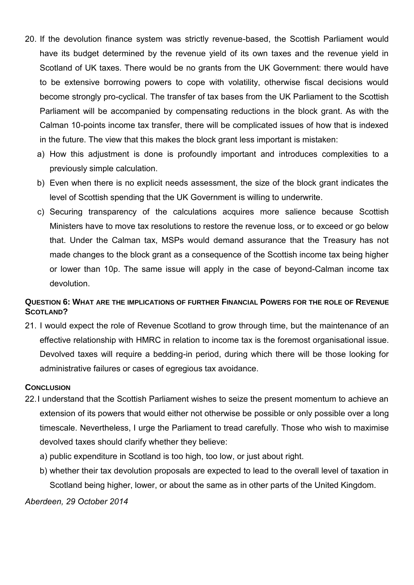- 20. If the devolution finance system was strictly revenue-based, the Scottish Parliament would have its budget determined by the revenue yield of its own taxes and the revenue yield in Scotland of UK taxes. There would be no grants from the UK Government: there would have to be extensive borrowing powers to cope with volatility, otherwise fiscal decisions would become strongly pro-cyclical. The transfer of tax bases from the UK Parliament to the Scottish Parliament will be accompanied by compensating reductions in the block grant. As with the Calman 10-points income tax transfer, there will be complicated issues of how that is indexed in the future. The view that this makes the block grant less important is mistaken:
	- a) How this adjustment is done is profoundly important and introduces complexities to a previously simple calculation.
	- b) Even when there is no explicit needs assessment, the size of the block grant indicates the level of Scottish spending that the UK Government is willing to underwrite.
	- c) Securing transparency of the calculations acquires more salience because Scottish Ministers have to move tax resolutions to restore the revenue loss, or to exceed or go below that. Under the Calman tax, MSPs would demand assurance that the Treasury has not made changes to the block grant as a consequence of the Scottish income tax being higher or lower than 10p. The same issue will apply in the case of beyond-Calman income tax devolution.

## **QUESTION 6: WHAT ARE THE IMPLICATIONS OF FURTHER FINANCIAL POWERS FOR THE ROLE OF REVENUE SCOTLAND?**

21. I would expect the role of Revenue Scotland to grow through time, but the maintenance of an effective relationship with HMRC in relation to income tax is the foremost organisational issue. Devolved taxes will require a bedding-in period, during which there will be those looking for administrative failures or cases of egregious tax avoidance.

#### **CONCLUSION**

- 22. I understand that the Scottish Parliament wishes to seize the present momentum to achieve an extension of its powers that would either not otherwise be possible or only possible over a long timescale. Nevertheless, I urge the Parliament to tread carefully. Those who wish to maximise devolved taxes should clarify whether they believe:
	- a) public expenditure in Scotland is too high, too low, or just about right.
	- b) whether their tax devolution proposals are expected to lead to the overall level of taxation in Scotland being higher, lower, or about the same as in other parts of the United Kingdom.

*Aberdeen, 29 October 2014*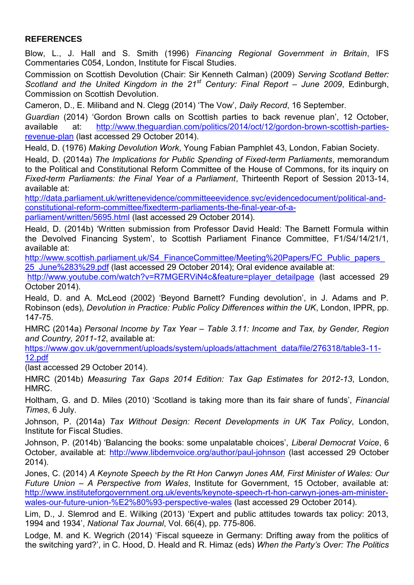# **REFERENCES**

Blow, L., J. Hall and S. Smith (1996) *Financing Regional Government in Britain*, IFS Commentaries C054, London, Institute for Fiscal Studies.

Commission on Scottish Devolution (Chair: Sir Kenneth Calman) (2009) *Serving Scotland Better: Scotland and the United Kingdom in the 21st Century: Final Report – June 2009*, Edinburgh, Commission on Scottish Devolution.

Cameron, D., E. Miliband and N. Clegg (2014) 'The Vow', *Daily Record*, 16 September.

*Guardian* (2014) 'Gordon Brown calls on Scottish parties to back revenue plan', 12 October, available at: [http://www.theguardian.com/politics/2014/oct/12/gordon-brown-scottish-parties](http://www.theguardian.com/politics/2014/oct/12/gordon-brown-scottish-parties-revenue-plan)[revenue-plan](http://www.theguardian.com/politics/2014/oct/12/gordon-brown-scottish-parties-revenue-plan) (last accessed 29 October 2014).

Heald, D. (1976) *Making Devolution Work*, Young Fabian Pamphlet 43, London, Fabian Society.

Heald, D. (2014a) *The Implications for Public Spending of Fixed-term Parliaments*, memorandum to the Political and Constitutional Reform Committee of the House of Commons, for its inquiry on *Fixed-term Parliaments: the Final Year of a Parliament*, Thirteenth Report of Session 2013-14, available at:

[http://data.parliament.uk/writtenevidence/committeeevidence.svc/evidencedocument/political-and](http://data.parliament.uk/writtenevidence/committeeevidence.svc/evidencedocument/political-and-constitutional-reform-committee/fixedterm-parliaments-the-final-year-of-a-parliament/written/5695.html)[constitutional-reform-committee/fixedterm-parliaments-the-final-year-of-a-](http://data.parliament.uk/writtenevidence/committeeevidence.svc/evidencedocument/political-and-constitutional-reform-committee/fixedterm-parliaments-the-final-year-of-a-parliament/written/5695.html)

[parliament/written/5695.html](http://data.parliament.uk/writtenevidence/committeeevidence.svc/evidencedocument/political-and-constitutional-reform-committee/fixedterm-parliaments-the-final-year-of-a-parliament/written/5695.html) (last accessed 29 October 2014).

Heald, D. (2014b) 'Written submission from Professor David Heald: The Barnett Formula within the Devolved Financing System', to Scottish Parliament Finance Committee, F1/S4/14/21/1, available at:

http://www.scottish.parliament.uk/S4\_FinanceCommittee/Meeting%20Papers/FC\_Public\_papers 25 June%283%29.pdf (last accessed 29 October 2014); Oral evidence available at:

[http://www.youtube.com/watch?v=R7MGERViN4c&feature=player\\_detailpage](http://www.youtube.com/watch?v=R7MGERViN4c&feature=player_detailpage) (last accessed 29 October 2014).

Heald, D. and A. McLeod (2002) 'Beyond Barnett? Funding devolution', in J. Adams and P. Robinson (eds), *Devolution in Practice: Public Policy Differences within the UK*, London, IPPR, pp. 147-75.

HMRC (2014a) *Personal Income by Tax Year – Table 3.11: Income and Tax, by Gender, Region and Country, 2011-12*, available at:

[https://www.gov.uk/government/uploads/system/uploads/attachment\\_data/file/276318/table3-11-](https://www.gov.uk/government/uploads/system/uploads/attachment_data/file/276318/table3-11-12.pdf) [12.pdf](https://www.gov.uk/government/uploads/system/uploads/attachment_data/file/276318/table3-11-12.pdf)

(last accessed 29 October 2014).

HMRC (2014b) *Measuring Tax Gaps 2014 Edition: Tax Gap Estimates for 2012-13*, London, HMRC.

Holtham, G. and D. Miles (2010) 'Scotland is taking more than its fair share of funds', *Financial Times*, 6 July.

Johnson, P. (2014a) *Tax Without Design: Recent Developments in UK Tax Policy*, London, Institute for Fiscal Studies.

Johnson, P. (2014b) 'Balancing the books: some unpalatable choices', *Liberal Democrat Voice*, 6 October, available at:<http://www.libdemvoice.org/author/paul-johnson>(last accessed 29 October 2014).

Jones, C. (2014) *A Keynote Speech by the Rt Hon Carwyn Jones AM, First Minister of Wales: Our Future Union – A Perspective from Wales*, Institute for Government, 15 October, available at: [http://www.instituteforgovernment.org.uk/events/keynote-speech-rt-hon-carwyn-jones-am-minister](http://www.instituteforgovernment.org.uk/events/keynote-speech-rt-hon-carwyn-jones-am-minister-wales-our-future-union-%E2%80%93-perspective-wales)[wales-our-future-union-%E2%80%93-perspective-wales](http://www.instituteforgovernment.org.uk/events/keynote-speech-rt-hon-carwyn-jones-am-minister-wales-our-future-union-%E2%80%93-perspective-wales) (last accessed 29 October 2014).

Lim, D., J. Slemrod and E. Wilking (2013) 'Expert and public attitudes towards tax policy: 2013, 1994 and 1934', *National Tax Journal*, Vol. 66(4), pp. 775-806.

Lodge, M. and K. Wegrich (2014) 'Fiscal squeeze in Germany: Drifting away from the politics of the switching yard?', in C. Hood, D. Heald and R. Himaz (eds) *When the Party's Over: The Politics*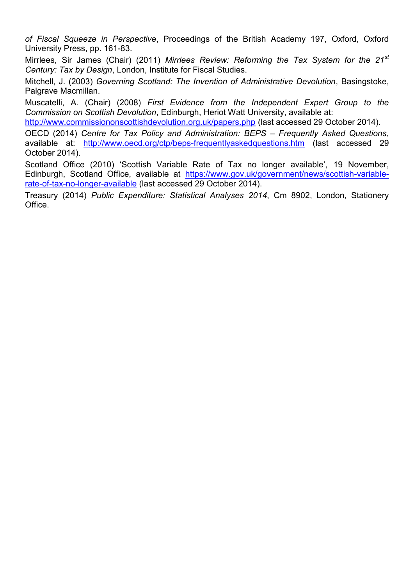*of Fiscal Squeeze in Perspective*, Proceedings of the British Academy 197, Oxford, Oxford University Press, pp. 161-83.

Mirrlees, Sir James (Chair) (2011) *Mirrlees Review: Reforming the Tax System for the 21st Century: Tax by Design*, London, Institute for Fiscal Studies.

Mitchell, J. (2003) *Governing Scotland: The Invention of Administrative Devolution*, Basingstoke, Palgrave Macmillan.

Muscatelli, A. (Chair) (2008) *First Evidence from the Independent Expert Group to the Commission on Scottish Devolution*, Edinburgh, Heriot Watt University, available at:

<http://www.commissiononscottishdevolution.org.uk/papers.php>(last accessed 29 October 2014).

OECD (2014) *Centre for Tax Policy and Administration: BEPS – Frequently Asked Questions*, available at: <http://www.oecd.org/ctp/beps-frequentlyaskedquestions.htm>(last accessed 29 October 2014).

Scotland Office (2010) 'Scottish Variable Rate of Tax no longer available', 19 November, Edinburgh, Scotland Office, available at [https://www.gov.uk/government/news/scottish-variable](https://www.gov.uk/government/news/scottish-variable-rate-of-tax-no-longer-available)[rate-of-tax-no-longer-available](https://www.gov.uk/government/news/scottish-variable-rate-of-tax-no-longer-available) (last accessed 29 October 2014).

Treasury (2014) *Public Expenditure: Statistical Analyses 2014*, Cm 8902, London, Stationery Office.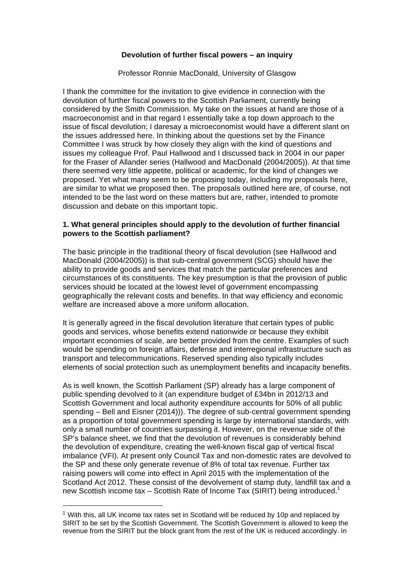#### **Devolution of further fiscal powers – an inquiry**

Professor Ronnie MacDonald, University of Glasgow

I thank the committee for the invitation to give evidence in connection with the devolution of further fiscal powers to the Scottish Parliament, currently being considered by the Smith Commission. My take on the issues at hand are those of a macroeconomist and in that regard I essentially take a top down approach to the issue of fiscal devolution; I daresay a microeconomist would have a different slant on the issues addressed here. In thinking about the questions set by the Finance Committee I was struck by how closely they align with the kind of questions and issues my colleague Prof. Paul Hallwood and I discussed back in 2004 in our paper for the Fraser of Allander series (Hallwood and MacDonald (2004/2005)). At that time there seemed very little appetite, political or academic, for the kind of changes we proposed. Yet what many seem to be proposing today, including my proposals here, are similar to what we proposed then. The proposals outlined here are, of course, not intended to be the last word on these matters but are, rather, intended to promote discussion and debate on this important topic.

#### **1. What general principles should apply to the devolution of further financial powers to the Scottish parliament?**

The basic principle in the traditional theory of fiscal devolution (see Hallwood and MacDonald (2004/2005)) is that sub-central government (SCG) should have the ability to provide goods and services that match the particular preferences and circumstances of its constituents. The key presumption is that the provision of public services should be located at the lowest level of government encompassing geographically the relevant costs and benefits. In that way efficiency and economic welfare are increased above a more uniform allocation.

It is generally agreed in the fiscal devolution literature that certain types of public goods and services, whose benefits extend nationwide or because they exhibit important economies of scale, are better provided from the centre. Examples of such would be spending on foreign affairs, defense and interregional infrastructure such as transport and telecommunications. Reserved spending also typically includes elements of social protection such as unemployment benefits and incapacity benefits.

As is well known, the Scottish Parliament (SP) already has a large component of public spending devolved to it (an expenditure budget of £34bn in 2012/13 and Scottish Government and local authority expenditure accounts for 50% of all public spending – Bell and Eisner (2014))). The degree of sub-central government spending as a proportion of total government spending is large by international standards, with only a small number of countries surpassing it. However, on the revenue side of the SP's balance sheet, we find that the devolution of revenues is considerably behind the devolution of expenditure, creating the well-known fiscal gap of vertical fiscal imbalance (VFI). At present only Council Tax and non-domestic rates are devolved to the SP and these only generate revenue of 8% of total tax revenue. Further tax raising powers will come into effect in April 2015 with the implementation of the Scotland Act 2012. These consist of the devolvement of stamp duty, landfill tax and a new Scottish income tax – Scottish Rate of Income Tax (SIRIT) being introduced.<sup>1</sup>

 $1$  With this, all UK income tax rates set in Scotland will be reduced by 10p and replaced by SIRIT to be set by the Scottish Government. The Scottish Government is allowed to keep the revenue from the SIRIT but the block grant from the rest of the UK is reduced accordingly. In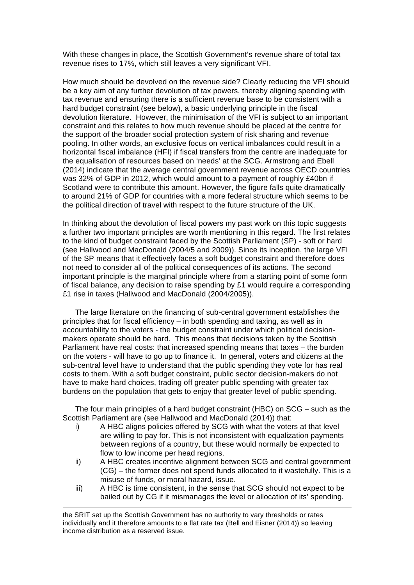With these changes in place, the Scottish Government's revenue share of total tax revenue rises to 17%, which still leaves a very significant VFI.

How much should be devolved on the revenue side? Clearly reducing the VFI should be a key aim of any further devolution of tax powers, thereby aligning spending with tax revenue and ensuring there is a sufficient revenue base to be consistent with a hard budget constraint (see below), a basic underlying principle in the fiscal devolution literature. However, the minimisation of the VFI is subject to an important constraint and this relates to how much revenue should be placed at the centre for the support of the broader social protection system of risk sharing and revenue pooling. In other words, an exclusive focus on vertical imbalances could result in a horizontal fiscal imbalance (HFI) if fiscal transfers from the centre are inadequate for the equalisation of resources based on 'needs' at the SCG. Armstrong and Ebell (2014) indicate that the average central government revenue across OECD countries was 32% of GDP in 2012, which would amount to a payment of roughly £40bn if Scotland were to contribute this amount. However, the figure falls quite dramatically to around 21% of GDP for countries with a more federal structure which seems to be the political direction of travel with respect to the future structure of the UK.

In thinking about the devolution of fiscal powers my past work on this topic suggests a further two important principles are worth mentioning in this regard. The first relates to the kind of budget constraint faced by the Scottish Parliament (SP) - soft or hard (see Hallwood and MacDonald (2004/5 and 2009)). Since its inception, the large VFI of the SP means that it effectively faces a soft budget constraint and therefore does not need to consider all of the political consequences of its actions. The second important principle is the marginal principle where from a starting point of some form of fiscal balance, any decision to raise spending by £1 would require a corresponding £1 rise in taxes (Hallwood and MacDonald (2004/2005)).

The large literature on the financing of sub-central government establishes the principles that for fiscal efficiency – in both spending and taxing, as well as in accountability to the voters - the budget constraint under which political decisionmakers operate should be hard. This means that decisions taken by the Scottish Parliament have real costs: that increased spending means that taxes – the burden on the voters - will have to go up to finance it. In general, voters and citizens at the sub-central level have to understand that the public spending they vote for has real costs to them. With a soft budget constraint, public sector decision-makers do not have to make hard choices, trading off greater public spending with greater tax burdens on the population that gets to enjoy that greater level of public spending.

The four main principles of a hard budget constraint (HBC) on SCG – such as the Scottish Parliament are (see Hallwood and MacDonald (2014)) that:

- i) A HBC aligns policies offered by SCG with what the voters at that level are willing to pay for. This is not inconsistent with equalization payments between regions of a country, but these would normally be expected to flow to low income per head regions.
- ii) A HBC creates incentive alignment between SCG and central government (CG) – the former does not spend funds allocated to it wastefully. This is a misuse of funds, or moral hazard, issue.
- iii) A HBC is time consistent, in the sense that SCG should not expect to be bailed out by CG if it mismanages the level or allocation of its' spending.

<u> 2000 - Andrea Andrew Maria (h. 1888).</u><br>2001 - Andrew Maria (h. 1889).

the SRIT set up the Scottish Government has no authority to vary thresholds or rates individually and it therefore amounts to a flat rate tax (Bell and Eisner (2014)) so leaving income distribution as a reserved issue.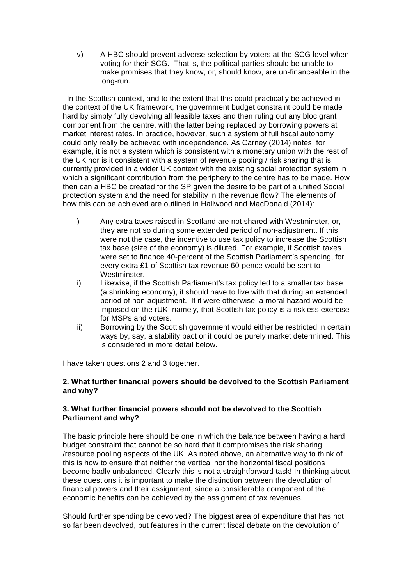iv) A HBC should prevent adverse selection by voters at the SCG level when voting for their SCG. That is, the political parties should be unable to make promises that they know, or, should know, are un-financeable in the long-run.

 In the Scottish context, and to the extent that this could practically be achieved in the context of the UK framework, the government budget constraint could be made hard by simply fully devolving all feasible taxes and then ruling out any bloc grant component from the centre, with the latter being replaced by borrowing powers at market interest rates. In practice, however, such a system of full fiscal autonomy could only really be achieved with independence. As Carney (2014) notes, for example, it is not a system which is consistent with a monetary union with the rest of the UK nor is it consistent with a system of revenue pooling / risk sharing that is currently provided in a wider UK context with the existing social protection system in which a significant contribution from the periphery to the centre has to be made. How then can a HBC be created for the SP given the desire to be part of a unified Social protection system and the need for stability in the revenue flow? The elements of how this can be achieved are outlined in Hallwood and MacDonald (2014):

- i) Any extra taxes raised in Scotland are not shared with Westminster, or, they are not so during some extended period of non-adjustment. If this were not the case, the incentive to use tax policy to increase the Scottish tax base (size of the economy) is diluted. For example, if Scottish taxes were set to finance 40-percent of the Scottish Parliament's spending, for every extra £1 of Scottish tax revenue 60-pence would be sent to Westminster.
- ii) Likewise, if the Scottish Parliament's tax policy led to a smaller tax base (a shrinking economy), it should have to live with that during an extended period of non-adjustment. If it were otherwise, a moral hazard would be imposed on the rUK, namely, that Scottish tax policy is a riskless exercise for MSPs and voters.
- iii) Borrowing by the Scottish government would either be restricted in certain ways by, say, a stability pact or it could be purely market determined. This is considered in more detail below.

I have taken questions 2 and 3 together.

#### **2. What further financial powers should be devolved to the Scottish Parliament and why?**

#### **3. What further financial powers should not be devolved to the Scottish Parliament and why?**

The basic principle here should be one in which the balance between having a hard budget constraint that cannot be so hard that it compromises the risk sharing /resource pooling aspects of the UK. As noted above, an alternative way to think of this is how to ensure that neither the vertical nor the horizontal fiscal positions become badly unbalanced. Clearly this is not a straightforward task! In thinking about these questions it is important to make the distinction between the devolution of financial powers and their assignment, since a considerable component of the economic benefits can be achieved by the assignment of tax revenues.

Should further spending be devolved? The biggest area of expenditure that has not so far been devolved, but features in the current fiscal debate on the devolution of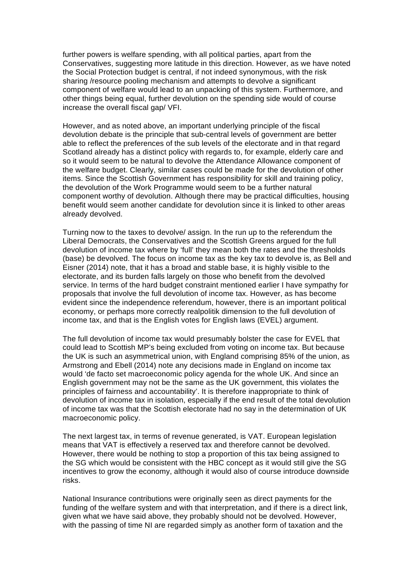further powers is welfare spending, with all political parties, apart from the Conservatives, suggesting more latitude in this direction. However, as we have noted the Social Protection budget is central, if not indeed synonymous, with the risk sharing /resource pooling mechanism and attempts to devolve a significant component of welfare would lead to an unpacking of this system. Furthermore, and other things being equal, further devolution on the spending side would of course increase the overall fiscal gap/ VFI.

However, and as noted above, an important underlying principle of the fiscal devolution debate is the principle that sub-central levels of government are better able to reflect the preferences of the sub levels of the electorate and in that regard Scotland already has a distinct policy with regards to, for example, elderly care and so it would seem to be natural to devolve the Attendance Allowance component of the welfare budget. Clearly, similar cases could be made for the devolution of other items. Since the Scottish Government has responsibility for skill and training policy, the devolution of the Work Programme would seem to be a further natural component worthy of devolution. Although there may be practical difficulties, housing benefit would seem another candidate for devolution since it is linked to other areas already devolved.

Turning now to the taxes to devolve/ assign. In the run up to the referendum the Liberal Democrats, the Conservatives and the Scottish Greens argued for the full devolution of income tax where by 'full' they mean both the rates and the thresholds (base) be devolved. The focus on income tax as the key tax to devolve is, as Bell and Eisner (2014) note, that it has a broad and stable base, it is highly visible to the electorate, and its burden falls largely on those who benefit from the devolved service. In terms of the hard budget constraint mentioned earlier I have sympathy for proposals that involve the full devolution of income tax. However, as has become evident since the independence referendum, however, there is an important political economy, or perhaps more correctly realpolitik dimension to the full devolution of income tax, and that is the English votes for English laws (EVEL) argument.

The full devolution of income tax would presumably bolster the case for EVEL that could lead to Scottish MP's being excluded from voting on income tax. But because the UK is such an asymmetrical union, with England comprising 85% of the union, as Armstrong and Ebell (2014) note any decisions made in England on income tax would 'de facto set macroeconomic policy agenda for the whole UK. And since an English government may not be the same as the UK government, this violates the principles of fairness and accountability'. It is therefore inappropriate to think of devolution of income tax in isolation, especially if the end result of the total devolution of income tax was that the Scottish electorate had no say in the determination of UK macroeconomic policy.

The next largest tax, in terms of revenue generated, is VAT. European legislation means that VAT is effectively a reserved tax and therefore cannot be devolved. However, there would be nothing to stop a proportion of this tax being assigned to the SG which would be consistent with the HBC concept as it would still give the SG incentives to grow the economy, although it would also of course introduce downside risks.

National Insurance contributions were originally seen as direct payments for the funding of the welfare system and with that interpretation, and if there is a direct link, given what we have said above, they probably should not be devolved. However, with the passing of time NI are regarded simply as another form of taxation and the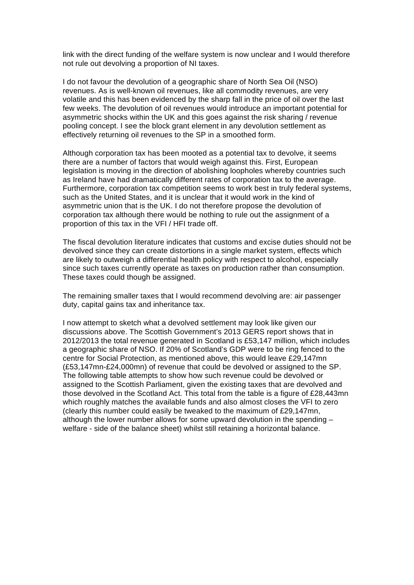link with the direct funding of the welfare system is now unclear and I would therefore not rule out devolving a proportion of NI taxes.

I do not favour the devolution of a geographic share of North Sea Oil (NSO) revenues. As is well-known oil revenues, like all commodity revenues, are very volatile and this has been evidenced by the sharp fall in the price of oil over the last few weeks. The devolution of oil revenues would introduce an important potential for asymmetric shocks within the UK and this goes against the risk sharing / revenue pooling concept. I see the block grant element in any devolution settlement as effectively returning oil revenues to the SP in a smoothed form.

Although corporation tax has been mooted as a potential tax to devolve, it seems there are a number of factors that would weigh against this. First, European legislation is moving in the direction of abolishing loopholes whereby countries such as Ireland have had dramatically different rates of corporation tax to the average. Furthermore, corporation tax competition seems to work best in truly federal systems, such as the United States, and it is unclear that it would work in the kind of asymmetric union that is the UK. I do not therefore propose the devolution of corporation tax although there would be nothing to rule out the assignment of a proportion of this tax in the VFI / HFI trade off.

The fiscal devolution literature indicates that customs and excise duties should not be devolved since they can create distortions in a single market system, effects which are likely to outweigh a differential health policy with respect to alcohol, especially since such taxes currently operate as taxes on production rather than consumption. These taxes could though be assigned.

The remaining smaller taxes that I would recommend devolving are: air passenger duty, capital gains tax and inheritance tax.

I now attempt to sketch what a devolved settlement may look like given our discussions above. The Scottish Government's 2013 GERS report shows that in 2012/2013 the total revenue generated in Scotland is £53,147 million, which includes a geographic share of NSO. If 20% of Scotland's GDP were to be ring fenced to the centre for Social Protection, as mentioned above, this would leave £29,147mn (£53,147mn-£24,000mn) of revenue that could be devolved or assigned to the SP. The following table attempts to show how such revenue could be devolved or assigned to the Scottish Parliament, given the existing taxes that are devolved and those devolved in the Scotland Act. This total from the table is a figure of £28,443mn which roughly matches the available funds and also almost closes the VFI to zero (clearly this number could easily be tweaked to the maximum of £29,147mn, although the lower number allows for some upward devolution in the spending – welfare - side of the balance sheet) whilst still retaining a horizontal balance.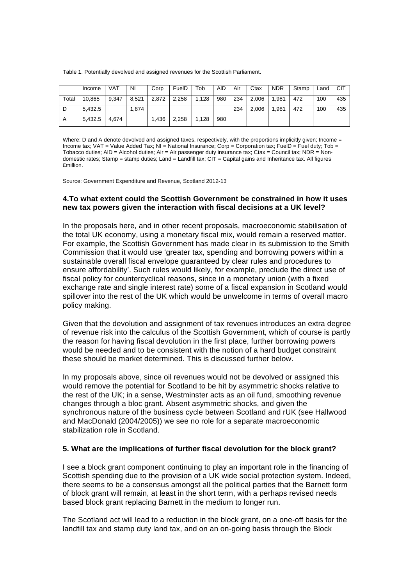Table 1. Potentially devolved and assigned revenues for the Scottish Parliament.

|                | Income  | VAT   | <b>NI</b> | Corp  | FuelD | Tob   | <b>AID</b> | Air | Ctax  | <b>NDR</b> | Stamp | Land | <b>CIT</b> |
|----------------|---------|-------|-----------|-------|-------|-------|------------|-----|-------|------------|-------|------|------------|
| Total          | 10.865  | 9.347 | 8.521     | 2,872 | 2,258 | 1.128 | 980        | 234 | 2.006 | 1.981      | 472   | 100  | 435        |
| D              | 5.432.5 |       | 1,874     |       |       |       |            | 234 | 2.006 | 1.981      | 472   | 100  | 435        |
| $\overline{A}$ | 5.432.5 | 4.674 |           | 1.436 | 2,258 | 1.128 | 980        |     |       |            |       |      |            |

Where: D and A denote devolved and assigned taxes, respectively, with the proportions implicitly given; Income = Income tax; VAT = Value Added Tax; NI = National Insurance; Corp = Corporation tax; FuelD = Fuel duty; Tob = Tobacco duties; AID = Alcohol duties; Air = Air passenger duty insurance tax; Ctax = Council tax; NDR = Nondomestic rates; Stamp = stamp duties; Land = Landfill tax;  $\overline{CIT}$  = Capital gains and Inheritance tax. All figures £million.

Source: Government Expenditure and Revenue, Scotland 2012-13

#### **4.To what extent could the Scottish Government be constrained in how it uses new tax powers given the interaction with fiscal decisions at a UK level?**

In the proposals here, and in other recent proposals, macroeconomic stabilisation of the total UK economy, using a monetary fiscal mix, would remain a reserved matter. For example, the Scottish Government has made clear in its submission to the Smith Commission that it would use 'greater tax, spending and borrowing powers within a sustainable overall fiscal envelope guaranteed by clear rules and procedures to ensure affordability'. Such rules would likely, for example, preclude the direct use of fiscal policy for countercyclical reasons, since in a monetary union (with a fixed exchange rate and single interest rate) some of a fiscal expansion in Scotland would spillover into the rest of the UK which would be unwelcome in terms of overall macro policy making.

Given that the devolution and assignment of tax revenues introduces an extra degree of revenue risk into the calculus of the Scottish Government, which of course is partly the reason for having fiscal devolution in the first place, further borrowing powers would be needed and to be consistent with the notion of a hard budget constraint these should be market determined. This is discussed further below.

In my proposals above, since oil revenues would not be devolved or assigned this would remove the potential for Scotland to be hit by asymmetric shocks relative to the rest of the UK; in a sense, Westminster acts as an oil fund, smoothing revenue changes through a bloc grant. Absent asymmetric shocks, and given the synchronous nature of the business cycle between Scotland and rUK (see Hallwood and MacDonald (2004/2005)) we see no role for a separate macroeconomic stabilization role in Scotland.

#### **5. What are the implications of further fiscal devolution for the block grant?**

I see a block grant component continuing to play an important role in the financing of Scottish spending due to the provision of a UK wide social protection system. Indeed, there seems to be a consensus amongst all the political parties that the Barnett form of block grant will remain, at least in the short term, with a perhaps revised needs based block grant replacing Barnett in the medium to longer run.

The Scotland act will lead to a reduction in the block grant, on a one-off basis for the landfill tax and stamp duty land tax, and on an on-going basis through the Block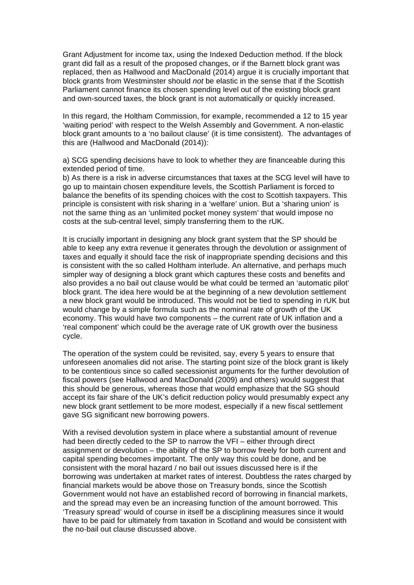Grant Adjustment for income tax, using the Indexed Deduction method. If the block grant did fall as a result of the proposed changes, or if the Barnett block grant was replaced, then as Hallwood and MacDonald (2014) argue it is crucially important that block grants from Westminster should *not* be elastic in the sense that if the Scottish Parliament cannot finance its chosen spending level out of the existing block grant and own-sourced taxes, the block grant is not automatically or quickly increased.

In this regard, the Holtham Commission, for example, recommended a 12 to 15 year 'waiting period' with respect to the Welsh Assembly and Government. A non-elastic block grant amounts to a 'no bailout clause' (it is time consistent). The advantages of this are (Hallwood and MacDonald (2014)):

a) SCG spending decisions have to look to whether they are financeable during this extended period of time.

b) As there is a risk in adverse circumstances that taxes at the SCG level will have to go up to maintain chosen expenditure levels, the Scottish Parliament is forced to balance the benefits of its spending choices with the cost to Scottish taxpayers. This principle is consistent with risk sharing in a 'welfare' union. But a 'sharing union' is not the same thing as an 'unlimited pocket money system' that would impose no costs at the sub-central level, simply transferring them to the rUK.

It is crucially important in designing any block grant system that the SP should be able to keep any extra revenue it generates through the devolution or assignment of taxes and equally it should face the risk of inappropriate spending decisions and this is consistent with the so called Holtham interlude. An alternative, and perhaps much simpler way of designing a block grant which captures these costs and benefits and also provides a no bail out clause would be what could be termed an 'automatic pilot' block grant. The idea here would be at the beginning of a new devolution settlement a new block grant would be introduced. This would not be tied to spending in rUK but would change by a simple formula such as the nominal rate of growth of the UK economy. This would have two components – the current rate of UK inflation and a 'real component' which could be the average rate of UK growth over the business cycle.

The operation of the system could be revisited, say, every 5 years to ensure that unforeseen anomalies did not arise. The starting point size of the block grant is likely to be contentious since so called secessionist arguments for the further devolution of fiscal powers (see Hallwood and MacDonald (2009) and others) would suggest that this should be generous, whereas those that would emphasize that the SG should accept its fair share of the UK's deficit reduction policy would presumably expect any new block grant settlement to be more modest, especially if a new fiscal settlement gave SG significant new borrowing powers.

With a revised devolution system in place where a substantial amount of revenue had been directly ceded to the SP to narrow the VFI – either through direct assignment or devolution – the ability of the SP to borrow freely for both current and capital spending becomes important. The only way this could be done, and be consistent with the moral hazard / no bail out issues discussed here is if the borrowing was undertaken at market rates of interest. Doubtless the rates charged by financial markets would be above those on Treasury bonds, since the Scottish Government would not have an established record of borrowing in financial markets, and the spread may even be an increasing function of the amount borrowed. This 'Treasury spread' would of course in itself be a disciplining measures since it would have to be paid for ultimately from taxation in Scotland and would be consistent with the no-bail out clause discussed above.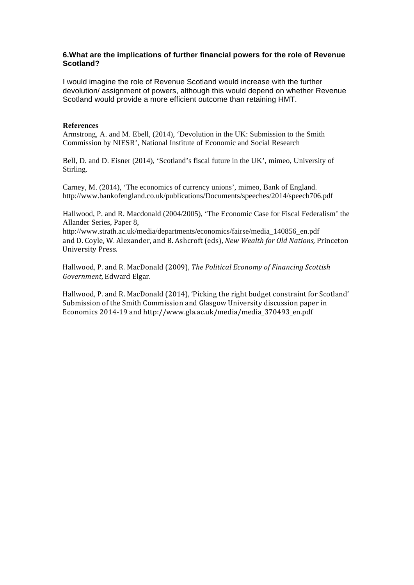#### **6.What are the implications of further financial powers for the role of Revenue Scotland?**

I would imagine the role of Revenue Scotland would increase with the further devolution/ assignment of powers, although this would depend on whether Revenue Scotland would provide a more efficient outcome than retaining HMT.

#### **References**

Armstrong, A. and M. Ebell, (2014), 'Devolution in the UK: Submission to the Smith Commission by NIESR', National Institute of Economic and Social Research

Bell, D. and D. Eisner (2014), 'Scotland's fiscal future in the UK', mimeo, University of Stirling.

Carney, M. (2014), 'The economics of currency unions', mimeo, Bank of England. http://www.bankofengland.co.uk/publications/Documents/speeches/2014/speech706.pdf

Hallwood, P. and R. Macdonald (2004/2005), 'The Economic Case for Fiscal Federalism' the Allander Series, Paper 8,

http://www.strath.ac.uk/media/departments/economics/fairse/media\_140856\_en.pdf and D. Coyle, W. Alexander, and B. Ashcroft (eds), *New Wealth for Old Nations*, Princeton University Press.

Hallwood, P. and R. MacDonald (2009), *The Political Economy of Financing Scottish* Government, Edward Elgar.

Hallwood, P. and R. MacDonald (2014), 'Picking the right budget constraint for Scotland' Submission of the Smith Commission and Glasgow University discussion paper in Economics 2014-19 and http://www.gla.ac.uk/media/media\_370493\_en.pdf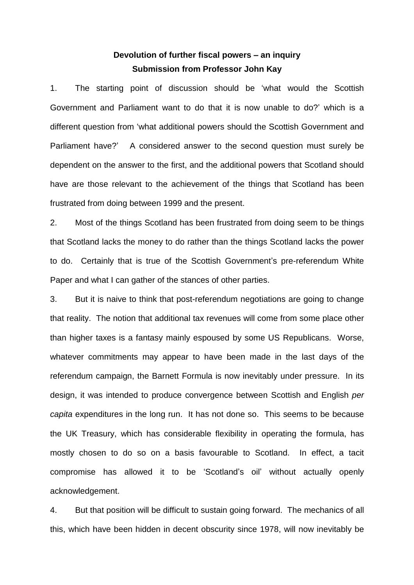# **Devolution of further fiscal powers – an inquiry Submission from Professor John Kay**

1. The starting point of discussion should be 'what would the Scottish Government and Parliament want to do that it is now unable to do?' which is a different question from 'what additional powers should the Scottish Government and Parliament have?' A considered answer to the second question must surely be dependent on the answer to the first, and the additional powers that Scotland should have are those relevant to the achievement of the things that Scotland has been frustrated from doing between 1999 and the present.

2. Most of the things Scotland has been frustrated from doing seem to be things that Scotland lacks the money to do rather than the things Scotland lacks the power to do. Certainly that is true of the Scottish Government's pre-referendum White Paper and what I can gather of the stances of other parties.

3. But it is naive to think that post-referendum negotiations are going to change that reality. The notion that additional tax revenues will come from some place other than higher taxes is a fantasy mainly espoused by some US Republicans. Worse, whatever commitments may appear to have been made in the last days of the referendum campaign, the Barnett Formula is now inevitably under pressure. In its design, it was intended to produce convergence between Scottish and English *per capita* expenditures in the long run. It has not done so. This seems to be because the UK Treasury, which has considerable flexibility in operating the formula, has mostly chosen to do so on a basis favourable to Scotland. In effect, a tacit compromise has allowed it to be 'Scotland's oil' without actually openly acknowledgement.

4. But that position will be difficult to sustain going forward. The mechanics of all this, which have been hidden in decent obscurity since 1978, will now inevitably be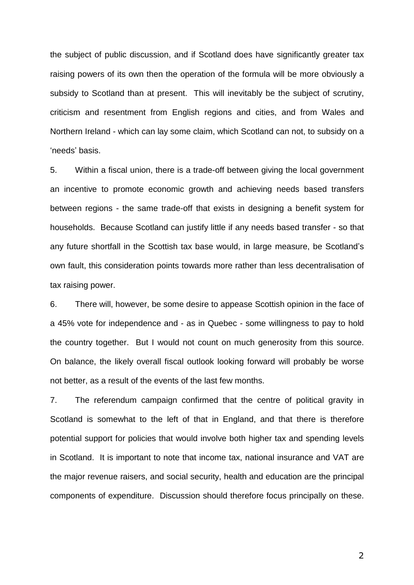the subject of public discussion, and if Scotland does have significantly greater tax raising powers of its own then the operation of the formula will be more obviously a subsidy to Scotland than at present. This will inevitably be the subject of scrutiny, criticism and resentment from English regions and cities, and from Wales and Northern Ireland - which can lay some claim, which Scotland can not, to subsidy on a 'needs' basis.

5. Within a fiscal union, there is a trade-off between giving the local government an incentive to promote economic growth and achieving needs based transfers between regions - the same trade-off that exists in designing a benefit system for households. Because Scotland can justify little if any needs based transfer - so that any future shortfall in the Scottish tax base would, in large measure, be Scotland's own fault, this consideration points towards more rather than less decentralisation of tax raising power.

6. There will, however, be some desire to appease Scottish opinion in the face of a 45% vote for independence and - as in Quebec - some willingness to pay to hold the country together. But I would not count on much generosity from this source. On balance, the likely overall fiscal outlook looking forward will probably be worse not better, as a result of the events of the last few months.

7. The referendum campaign confirmed that the centre of political gravity in Scotland is somewhat to the left of that in England, and that there is therefore potential support for policies that would involve both higher tax and spending levels in Scotland. It is important to note that income tax, national insurance and VAT are the major revenue raisers, and social security, health and education are the principal components of expenditure. Discussion should therefore focus principally on these.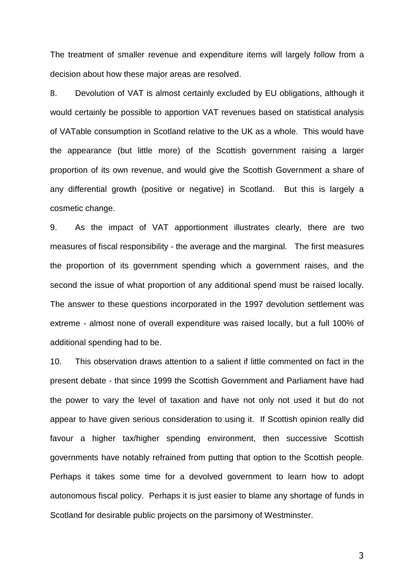The treatment of smaller revenue and expenditure items will largely follow from a decision about how these major areas are resolved.

8. Devolution of VAT is almost certainly excluded by EU obligations, although it would certainly be possible to apportion VAT revenues based on statistical analysis of VATable consumption in Scotland relative to the UK as a whole. This would have the appearance (but little more) of the Scottish government raising a larger proportion of its own revenue, and would give the Scottish Government a share of any differential growth (positive or negative) in Scotland. But this is largely a cosmetic change.

9. As the impact of VAT apportionment illustrates clearly, there are two measures of fiscal responsibility - the average and the marginal. The first measures the proportion of its government spending which a government raises, and the second the issue of what proportion of any additional spend must be raised locally. The answer to these questions incorporated in the 1997 devolution settlement was extreme - almost none of overall expenditure was raised locally, but a full 100% of additional spending had to be.

10. This observation draws attention to a salient if little commented on fact in the present debate - that since 1999 the Scottish Government and Parliament have had the power to vary the level of taxation and have not only not used it but do not appear to have given serious consideration to using it. If Scottish opinion really did favour a higher tax/higher spending environment, then successive Scottish governments have notably refrained from putting that option to the Scottish people. Perhaps it takes some time for a devolved government to learn how to adopt autonomous fiscal policy. Perhaps it is just easier to blame any shortage of funds in Scotland for desirable public projects on the parsimony of Westminster.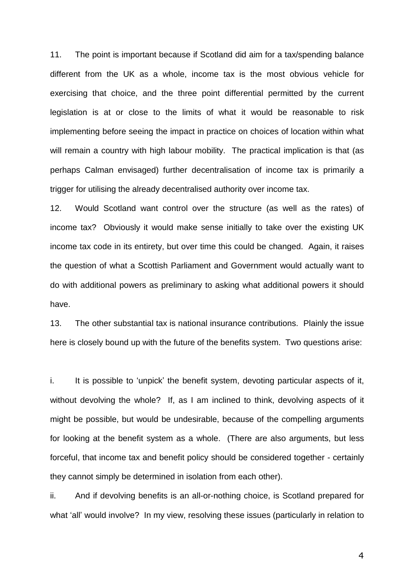11. The point is important because if Scotland did aim for a tax/spending balance different from the UK as a whole, income tax is the most obvious vehicle for exercising that choice, and the three point differential permitted by the current legislation is at or close to the limits of what it would be reasonable to risk implementing before seeing the impact in practice on choices of location within what will remain a country with high labour mobility. The practical implication is that (as perhaps Calman envisaged) further decentralisation of income tax is primarily a trigger for utilising the already decentralised authority over income tax.

12. Would Scotland want control over the structure (as well as the rates) of income tax? Obviously it would make sense initially to take over the existing UK income tax code in its entirety, but over time this could be changed. Again, it raises the question of what a Scottish Parliament and Government would actually want to do with additional powers as preliminary to asking what additional powers it should have.

13. The other substantial tax is national insurance contributions. Plainly the issue here is closely bound up with the future of the benefits system. Two questions arise:

i. It is possible to 'unpick' the benefit system, devoting particular aspects of it, without devolving the whole? If, as I am inclined to think, devolving aspects of it might be possible, but would be undesirable, because of the compelling arguments for looking at the benefit system as a whole. (There are also arguments, but less forceful, that income tax and benefit policy should be considered together - certainly they cannot simply be determined in isolation from each other).

ii. And if devolving benefits is an all-or-nothing choice, is Scotland prepared for what 'all' would involve? In my view, resolving these issues (particularly in relation to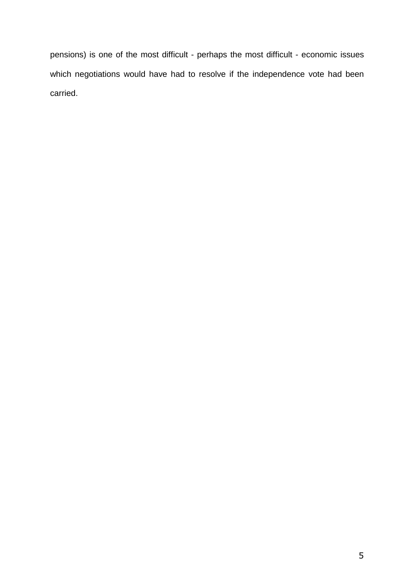pensions) is one of the most difficult - perhaps the most difficult - economic issues which negotiations would have had to resolve if the independence vote had been carried.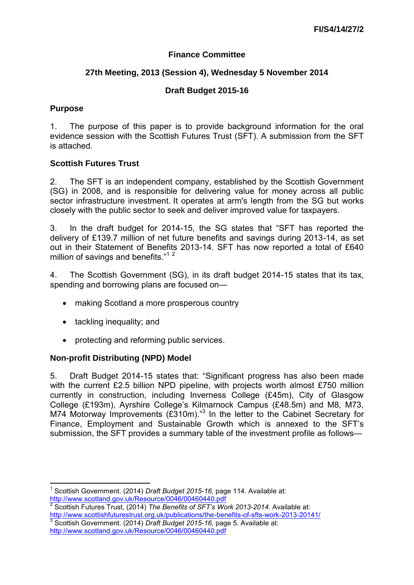### **Finance Committee**

### **27th Meeting, 2013 (Session 4), Wednesday 5 November 2014**

### **Draft Budget 2015-16**

#### **Purpose**

1. The purpose of this paper is to provide background information for the oral evidence session with the Scottish Futures Trust (SFT). A submission from the SFT is attached.

### **Scottish Futures Trust**

2. The SFT is an independent company, established by the Scottish Government (SG) in 2008, and is responsible for delivering value for money across all public sector infrastructure investment. It operates at arm's length from the SG but works closely with the public sector to seek and deliver improved value for taxpayers.

3. In the draft budget for 2014-15, the SG states that "SFT has reported the delivery of £139.7 million of net future benefits and savings during 2013-14, as set out in their Statement of Benefits 2013-14. SFT has now reported a total of £640 million of savings and benefits."<sup>12</sup>

4. The Scottish Government (SG), in its draft budget 2014-15 states that its tax, spending and borrowing plans are focused on—

- making Scotland a more prosperous country
- tackling inequality; and
- protecting and reforming public services.

#### **Non-profit Distributing (NPD) Model**

5. Draft Budget 2014-15 states that: "Significant progress has also been made with the current £2.5 billion NPD pipeline, with projects worth almost £750 million currently in construction, including Inverness College (£45m), City of Glasgow College (£193m), Ayrshire College's Kilmarnock Campus (£48.5m) and M8, M73, M74 Motorway Improvements  $(£310m).<sup>3</sup>$  In the letter to the Cabinet Secretary for Finance, Employment and Sustainable Growth which is annexed to the SFT's submission, the SFT provides a summary table of the investment profile as follows—

 1 Scottish Government. (2014) *Draft Budget 2015-16*, page 114. Available at: <http://www.scotland.gov.uk/Resource/0046/00460440.pdf><br><sup>2</sup> Seottich Eutures Trust, (2014) The Bonefite of SET/o W

Scottish Futures Trust, (2014) *The Benefits of SFT's Work 2013-2014*. Available at: <http://www.scottishfuturestrust.org.uk/publications/the-benefits-of-sfts-work-2013-20141/> 3 Scottish Government. (2014) *Draft Budget 2015-16*, page 5. Available at: <http://www.scotland.gov.uk/Resource/0046/00460440.pdf>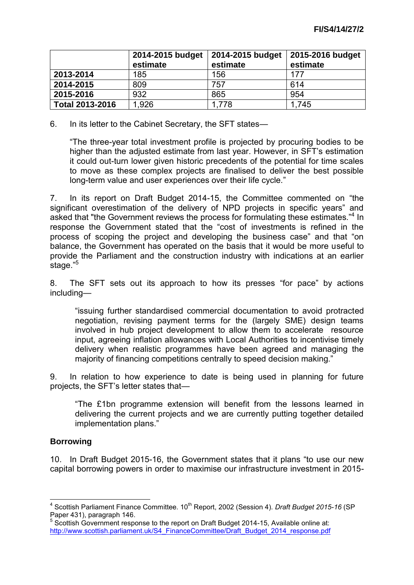|                        | 2014-2015 budget<br>estimate | 2014-2015 budget<br>estimate | 2015-2016 budget<br>estimate |
|------------------------|------------------------------|------------------------------|------------------------------|
| 2013-2014              | 185                          | 156                          | 177                          |
| 2014-2015              | 809                          | 757                          | 614                          |
| 2015-2016              | 932                          | 865                          | 954                          |
| <b>Total 2013-2016</b> | 1,926                        | 1,778                        | 1,745                        |

6. In its letter to the Cabinet Secretary, the SFT states—

"The three-year total investment profile is projected by procuring bodies to be higher than the adjusted estimate from last year. However, in SFT's estimation it could out-turn lower given historic precedents of the potential for time scales to move as these complex projects are finalised to deliver the best possible long-term value and user experiences over their life cycle."

7. In its report on Draft Budget 2014-15, the Committee commented on "the significant overestimation of the delivery of NPD projects in specific years" and asked that "the Government reviews the process for formulating these estimates."<sup>4</sup> In response the Government stated that the "cost of investments is refined in the process of scoping the project and developing the business case" and that "on balance, the Government has operated on the basis that it would be more useful to provide the Parliament and the construction industry with indications at an earlier stage."<sup>5</sup>

8. The SFT sets out its approach to how its presses "for pace" by actions including—

"issuing further standardised commercial documentation to avoid protracted negotiation, revising payment terms for the (largely SME) design teams involved in hub project development to allow them to accelerate resource input, agreeing inflation allowances with Local Authorities to incentivise timely delivery when realistic programmes have been agreed and managing the majority of financing competitions centrally to speed decision making."

9. In relation to how experience to date is being used in planning for future projects, the SFT's letter states that—

"The £1bn programme extension will benefit from the lessons learned in delivering the current projects and we are currently putting together detailed implementation plans."

## **Borrowing**

10. In Draft Budget 2015-16, the Government states that it plans "to use our new capital borrowing powers in order to maximise our infrastructure investment in 2015-

<sup>—————————————————————&</sup>lt;br><sup>4</sup> Scottish Parliament Finance Committee. 10<sup>th</sup> Report, 2002 (Session 4). *Draft Budget 2015-16* (SPI Paper 431), paragraph 146.

<sup>&</sup>lt;sup>5</sup> Scottish Government response to the report on Draft Budget 2014-15, Available online at: [http://www.scottish.parliament.uk/S4\\_FinanceCommittee/Draft\\_Budget\\_2014\\_response.pdf](http://www.scottish.parliament.uk/S4_FinanceCommittee/Draft_Budget_2014_response.pdf)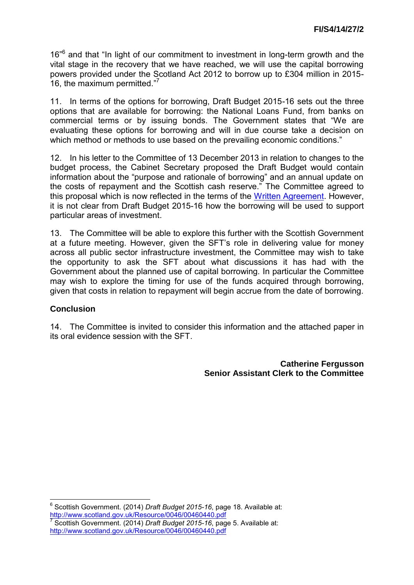16<sup>"6</sup> and that "In light of our commitment to investment in long-term growth and the vital stage in the recovery that we have reached, we will use the capital borrowing powers provided under the Scotland Act 2012 to borrow up to £304 million in 2015- 16, the maximum permitted."<sup>7</sup>

11. In terms of the options for borrowing, Draft Budget 2015-16 sets out the three options that are available for borrowing: the National Loans Fund, from banks on commercial terms or by issuing bonds. The Government states that "We are evaluating these options for borrowing and will in due course take a decision on which method or methods to use based on the prevailing economic conditions."

12. In his letter to the Committee of 13 December 2013 in relation to changes to the budget process, the Cabinet Secretary proposed the Draft Budget would contain information about the "purpose and rationale of borrowing" and an annual update on the costs of repayment and the Scottish cash reserve." The Committee agreed to this proposal which is now reflected in the terms of the [Written Agreement.](http://www.scottish.parliament.uk/S4_FinanceCommittee/General%20Documents/Written_agreement_with_SG_-_Revised_December_2013.pdf) However, it is not clear from Draft Budget 2015-16 how the borrowing will be used to support particular areas of investment.

13. The Committee will be able to explore this further with the Scottish Government at a future meeting. However, given the SFT's role in delivering value for money across all public sector infrastructure investment, the Committee may wish to take the opportunity to ask the SFT about what discussions it has had with the Government about the planned use of capital borrowing. In particular the Committee may wish to explore the timing for use of the funds acquired through borrowing, given that costs in relation to repayment will begin accrue from the date of borrowing.

#### **Conclusion**

14. The Committee is invited to consider this information and the attached paper in its oral evidence session with the SFT.

> **Catherine Fergusson Senior Assistant Clerk to the Committee**

 6 Scottish Government. (2014) *Draft Budget 2015-16*, page 18. Available at: <http://www.scotland.gov.uk/Resource/0046/00460440.pdf>

<sup>7</sup> Scottish Government. (2014) *Draft Budget 2015-16*, page 5. Available at: <http://www.scotland.gov.uk/Resource/0046/00460440.pdf>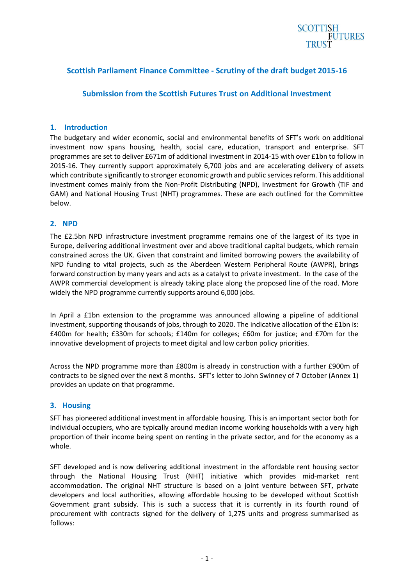# **SCOTTISH FUTURES**

### **Scottish Parliament Finance Committee - Scrutiny of the draft budget 2015-16**

#### **Submission from the Scottish Futures Trust on Additional Investment**

#### **1. Introduction**

The budgetary and wider economic, social and environmental benefits of SFT's work on additional investment now spans housing, health, social care, education, transport and enterprise. SFT programmes are set to deliver £671m of additional investment in 2014-15 with over £1bn to follow in 2015-16. They currently support approximately 6,700 jobs and are accelerating delivery of assets which contribute significantly to stronger economic growth and public services reform. This additional investment comes mainly from the Non-Profit Distributing (NPD), Investment for Growth (TIF and GAM) and National Housing Trust (NHT) programmes. These are each outlined for the Committee below.

#### **2. NPD**

The £2.5bn NPD infrastructure investment programme remains one of the largest of its type in Europe, delivering additional investment over and above traditional capital budgets, which remain constrained across the UK. Given that constraint and limited borrowing powers the availability of NPD funding to vital projects, such as the Aberdeen Western Peripheral Route (AWPR), brings forward construction by many years and acts as a catalyst to private investment. In the case of the AWPR commercial development is already taking place along the proposed line of the road. More widely the NPD programme currently supports around 6,000 jobs.

In April a £1bn extension to the programme was announced allowing a pipeline of additional investment, supporting thousands of jobs, through to 2020. The indicative allocation of the £1bn is: £400m for health; £330m for schools; £140m for colleges; £60m for justice; and £70m for the innovative development of projects to meet digital and low carbon policy priorities.

Across the NPD programme more than £800m is already in construction with a further £900m of contracts to be signed over the next 8 months. SFT's letter to John Swinney of 7 October (Annex 1) provides an update on that programme.

#### **3. Housing**

SFT has pioneered additional investment in affordable housing. This is an important sector both for individual occupiers, who are typically around median income working households with a very high proportion of their income being spent on renting in the private sector, and for the economy as a whole.

SFT developed and is now delivering additional investment in the affordable rent housing sector through the National Housing Trust (NHT) initiative which provides mid-market rent accommodation. The original NHT structure is based on a joint venture between SFT, private developers and local authorities, allowing affordable housing to be developed without Scottish Government grant subsidy. This is such a success that it is currently in its fourth round of procurement with contracts signed for the delivery of 1,275 units and progress summarised as follows: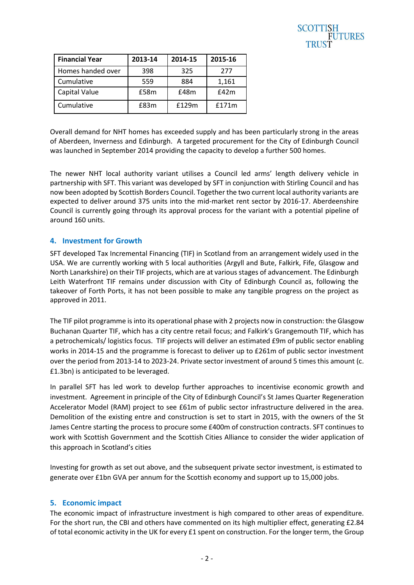| SCOTTISH       |
|----------------|
| <b>FUTURES</b> |
| <b>TRUST</b>   |

| <b>Financial Year</b> | 2013-14 | 2014-15 | 2015-16 |
|-----------------------|---------|---------|---------|
| Homes handed over     | 398     | 325     | 277     |
| Cumulative            | 559     | 884     | 1,161   |
| Capital Value         | £58m    | £48m    | f42m    |
| Cumulative            | £83m    | £129m   | f171m   |

Overall demand for NHT homes has exceeded supply and has been particularly strong in the areas of Aberdeen, Inverness and Edinburgh. A targeted procurement for the City of Edinburgh Council was launched in September 2014 providing the capacity to develop a further 500 homes.

The newer NHT local authority variant utilises a Council led arms' length delivery vehicle in partnership with SFT. This variant was developed by SFT in conjunction with Stirling Council and has now been adopted by Scottish Borders Council. Together the two current local authority variants are expected to deliver around 375 units into the mid-market rent sector by 2016-17. Aberdeenshire Council is currently going through its approval process for the variant with a potential pipeline of around 160 units.

#### **4. Investment for Growth**

SFT developed Tax Incremental Financing (TIF) in Scotland from an arrangement widely used in the USA. We are currently working with 5 local authorities (Argyll and Bute, Falkirk, Fife, Glasgow and North Lanarkshire) on their TIF projects, which are at various stages of advancement. The Edinburgh Leith Waterfront TIF remains under discussion with City of Edinburgh Council as, following the takeover of Forth Ports, it has not been possible to make any tangible progress on the project as approved in 2011.

The TIF pilot programme is into its operational phase with 2 projects now in construction: the Glasgow Buchanan Quarter TIF, which has a city centre retail focus; and Falkirk's Grangemouth TIF, which has a petrochemicals/ logistics focus. TIF projects will deliver an estimated £9m of public sector enabling works in 2014-15 and the programme is forecast to deliver up to £261m of public sector investment over the period from 2013-14 to 2023-24. Private sector investment of around 5 times this amount (c. £1.3bn) is anticipated to be leveraged.

In parallel SFT has led work to develop further approaches to incentivise economic growth and investment. Agreement in principle of the City of Edinburgh Council's St James Quarter Regeneration Accelerator Model (RAM) project to see £61m of public sector infrastructure delivered in the area. Demolition of the existing entre and construction is set to start in 2015, with the owners of the St James Centre starting the process to procure some £400m of construction contracts. SFT continues to work with Scottish Government and the Scottish Cities Alliance to consider the wider application of this approach in Scotland's cities

Investing for growth as set out above, and the subsequent private sector investment, is estimated to generate over £1bn GVA per annum for the Scottish economy and support up to 15,000 jobs.

#### **5. Economic impact**

The economic impact of infrastructure investment is high compared to other areas of expenditure. For the short run, the CBI and others have commented on its high multiplier effect, generating £2.84 of total economic activity in the UK for every £1 spent on construction. For the longer term, the Group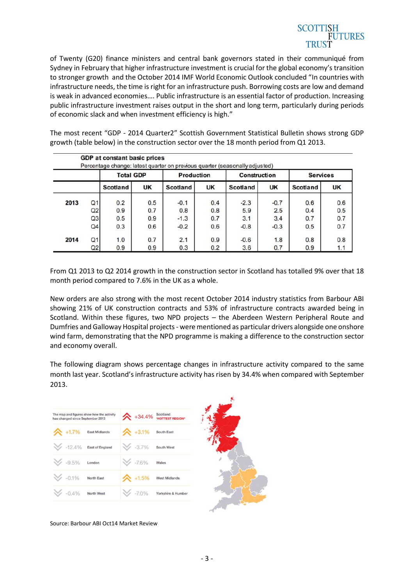# **SCOTTISH FUTURES**

of Twenty (G20) finance ministers and central bank governors stated in their communiqué from Sydney in February that higher infrastructure investment is crucial for the global economy's transition to stronger growth and the October 2014 IMF World Economic Outlook concluded "In countries with infrastructure needs, the time is right for an infrastructure push. Borrowing costs are low and demand is weak in advanced economies…. Public infrastructure is an essential factor of production. Increasing public infrastructure investment raises output in the short and long term, particularly during periods of economic slack and when investment efficiency is high."

The most recent "GDP - 2014 Quarter2" Scottish Government Statistical Bulletin shows strong GDP growth (table below) in the construction sector over the 18 month period from Q1 2013.

|      |                | <b>GDP at constant basic prices</b> |           |                   |           | Percentage change: latest quarter on previous quarter (seasonally adjusted) |           |                 |           |
|------|----------------|-------------------------------------|-----------|-------------------|-----------|-----------------------------------------------------------------------------|-----------|-----------------|-----------|
|      |                | <b>Total GDP</b>                    |           | <b>Production</b> |           | <b>Construction</b>                                                         |           | <b>Services</b> |           |
|      |                | <b>Scotland</b>                     | <b>UK</b> | <b>Scotland</b>   | <b>UK</b> | <b>Scotland</b>                                                             | <b>UK</b> | <b>Scotland</b> | <b>UK</b> |
| 2013 | Q <sub>1</sub> | 0.2                                 | 0.5       | $-0.1$            | 0.4       | $-2.3$                                                                      | $-0.7$    | 0.6             | 0.6       |
|      | Q2             | 0.9                                 | 0.7       | 0.8               | 0.8       | 5.9                                                                         | 2.5       | 0.4             | 0.5       |
|      | Q <sub>3</sub> | 0.5                                 | 0.9       | $-1.3$            | 0.7       | 3.1                                                                         | 3.4       | 0.7             | 0.7       |
|      | Q4             | 0.3                                 | 0.6       | $-0.2$            | 0.6       | $-0.8$                                                                      | $-0.3$    | 0.5             | 0.7       |
| 2014 | Q <sub>1</sub> | 1.0                                 | 0.7       | 2.1               | 0.9       | $-0.6$                                                                      | 1.8       | 0.8             | 0.8       |
|      | Q2             | 0.9                                 | 0.9       | 0.3               | 0.2       | 3.6                                                                         | 0.7       | 0.9             | 1.1       |

From Q1 2013 to Q2 2014 growth in the construction sector in Scotland has totalled 9% over that 18 month period compared to 7.6% in the UK as a whole.

New orders are also strong with the most recent October 2014 industry statistics from Barbour ABI showing 21% of UK construction contracts and 53% of infrastructure contracts awarded being in Scotland. Within these figures, two NPD projects – the Aberdeen Western Peripheral Route and Dumfries and Galloway Hospital projects - were mentioned as particular drivers alongside one onshore wind farm, demonstrating that the NPD programme is making a difference to the construction sector and economy overall.

The following diagram shows percentage changes in infrastructure activity compared to the same month last year. Scotland's infrastructure activity has risen by 34.4% when compared with September 2013.

| The map and figures show how the activity<br>has changed since September 2013 |            |                     | +34.4% Scotland      |
|-------------------------------------------------------------------------------|------------|---------------------|----------------------|
| +1.7% East Midlands                                                           |            | $\star$ +3.1%       | South East           |
| $\mathbb{V}$ -12.4% East of England                                           |            | $3.7\%$ South West  |                      |
| $\frac{1}{2}$ -9.5%                                                           | London     | $\frac{3}{2}$ -7.6% | Wales                |
| $\frac{1}{2}$ -0.1%                                                           | North East | $\bigwedge$ +1.5%   | <b>West Midlands</b> |
| $\frac{1}{2}$ -0.4%                                                           | North West | $\frac{1}{2}$ -7.0% | Yorkshire & Humber   |

Source: Barbour ABI Oct14 Market Review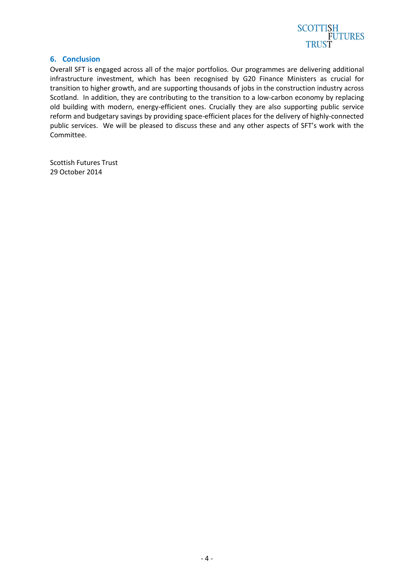

#### **6. Conclusion**

Overall SFT is engaged across all of the major portfolios. Our programmes are delivering additional infrastructure investment, which has been recognised by G20 Finance Ministers as crucial for transition to higher growth, and are supporting thousands of jobs in the construction industry across Scotland. In addition, they are contributing to the transition to a low-carbon economy by replacing old building with modern, energy-efficient ones. Crucially they are also supporting public service reform and budgetary savings by providing space-efficient places for the delivery of highly-connected public services. We will be pleased to discuss these and any other aspects of SFT's work with the Committee.

Scottish Futures Trust 29 October 2014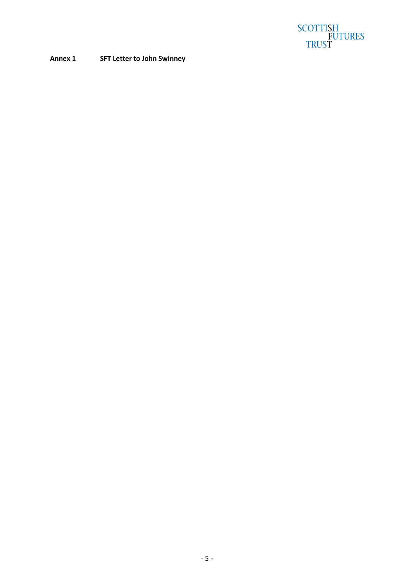

#### **Annex 1 SFT Letter to John Swinney**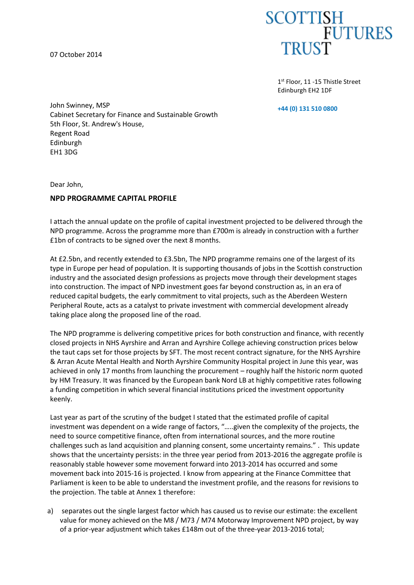07 October 2014



1st Floor, 11 -15 Thistle Street Edinburgh EH2 1DF

**+44 (0) 131 510 0800**

John Swinney, MSP Cabinet Secretary for Finance and Sustainable Growth 5th Floor, St. Andrew's House, Regent Road Edinburgh EH1 3DG

Dear John,

#### **NPD PROGRAMME CAPITAL PROFILE**

I attach the annual update on the profile of capital investment projected to be delivered through the NPD programme. Across the programme more than £700m is already in construction with a further £1bn of contracts to be signed over the next 8 months.

At £2.5bn, and recently extended to £3.5bn, The NPD programme remains one of the largest of its type in Europe per head of population. It is supporting thousands of jobs in the Scottish construction industry and the associated design professions as projects move through their development stages into construction. The impact of NPD investment goes far beyond construction as, in an era of reduced capital budgets, the early commitment to vital projects, such as the Aberdeen Western Peripheral Route, acts as a catalyst to private investment with commercial development already taking place along the proposed line of the road.

The NPD programme is delivering competitive prices for both construction and finance, with recently closed projects in NHS Ayrshire and Arran and Ayrshire College achieving construction prices below the taut caps set for those projects by SFT. The most recent contract signature, for the NHS Ayrshire & Arran Acute Mental Health and North Ayrshire Community Hospital project in June this year, was achieved in only 17 months from launching the procurement – roughly half the historic norm quoted by HM Treasury. It was financed by the European bank Nord LB at highly competitive rates following a funding competition in which several financial institutions priced the investment opportunity keenly.

Last year as part of the scrutiny of the budget I stated that the estimated profile of capital investment was dependent on a wide range of factors, "…..given the complexity of the projects, the need to source competitive finance, often from international sources, and the more routine challenges such as land acquisition and planning consent, some uncertainty remains." . This update shows that the uncertainty persists: in the three year period from 2013-2016 the aggregate profile is reasonably stable however some movement forward into 2013-2014 has occurred and some movement back into 2015-16 is projected. I know from appearing at the Finance Committee that Parliament is keen to be able to understand the investment profile, and the reasons for revisions to the projection. The table at Annex 1 therefore:

a) separates out the single largest factor which has caused us to revise our estimate: the excellent value for money achieved on the M8 / M73 / M74 Motorway Improvement NPD project, by way of a prior-year adjustment which takes £148m out of the three-year 2013-2016 total;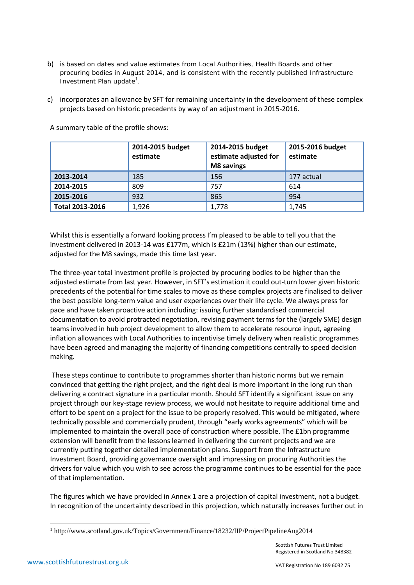- b) is based on dates and value estimates from Local Authorities, Health Boards and other procuring bodies in August 2014, and is consistent with the recently published Infrastructure Investment Plan update<sup>1</sup>.
- c) incorporates an allowance by SFT for remaining uncertainty in the development of these complex projects based on historic precedents by way of an adjustment in 2015-2016.

|                        | 2014-2015 budget<br>estimate | 2014-2015 budget<br>estimate adjusted for<br>M8 savings | 2015-2016 budget<br>estimate |
|------------------------|------------------------------|---------------------------------------------------------|------------------------------|
| 2013-2014              | 185                          | 156                                                     | 177 actual                   |
| 2014-2015              | 809                          | 757                                                     | 614                          |
| 2015-2016              | 932                          | 865                                                     | 954                          |
| <b>Total 2013-2016</b> | 1,926                        | 1,778                                                   | 1,745                        |

A summary table of the profile shows:

Whilst this is essentially a forward looking process I'm pleased to be able to tell you that the investment delivered in 2013-14 was £177m, which is £21m (13%) higher than our estimate, adjusted for the M8 savings, made this time last year.

The three-year total investment profile is projected by procuring bodies to be higher than the adjusted estimate from last year. However, in SFT's estimation it could out-turn lower given historic precedents of the potential for time scales to move as these complex projects are finalised to deliver the best possible long-term value and user experiences over their life cycle. We always press for pace and have taken proactive action including: issuing further standardised commercial documentation to avoid protracted negotiation, revising payment terms for the (largely SME) design teams involved in hub project development to allow them to accelerate resource input, agreeing inflation allowances with Local Authorities to incentivise timely delivery when realistic programmes have been agreed and managing the majority of financing competitions centrally to speed decision making.

 These steps continue to contribute to programmes shorter than historic norms but we remain convinced that getting the right project, and the right deal is more important in the long run than delivering a contract signature in a particular month. Should SFT identify a significant issue on any project through our key-stage review process, we would not hesitate to require additional time and effort to be spent on a project for the issue to be properly resolved. This would be mitigated, where technically possible and commercially prudent, through "early works agreements" which will be implemented to maintain the overall pace of construction where possible. The £1bn programme extension will benefit from the lessons learned in delivering the current projects and we are currently putting together detailed implementation plans. Support from the Infrastructure Investment Board, providing governance oversight and impressing on procuring Authorities the drivers for value which you wish to see across the programme continues to be essential for the pace of that implementation.

The figures which we have provided in Annex 1 are a projection of capital investment, not a budget. In recognition of the uncertainty described in this projection, which naturally increases further out in

**.** 

<sup>1</sup> http://www.scotland.gov.uk/Topics/Government/Finance/18232/IIP/ProjectPipelineAug2014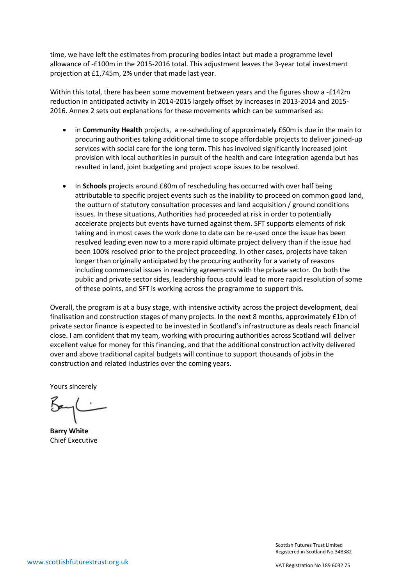time, we have left the estimates from procuring bodies intact but made a programme level allowance of -£100m in the 2015-2016 total. This adjustment leaves the 3-year total investment projection at £1,745m, 2% under that made last year.

Within this total, there has been some movement between years and the figures show a -£142m reduction in anticipated activity in 2014-2015 largely offset by increases in 2013-2014 and 2015- 2016. Annex 2 sets out explanations for these movements which can be summarised as:

- in **Community Health** projects, a re-scheduling of approximately £60m is due in the main to procuring authorities taking additional time to scope affordable projects to deliver joined-up services with social care for the long term. This has involved significantly increased joint provision with local authorities in pursuit of the health and care integration agenda but has resulted in land, joint budgeting and project scope issues to be resolved.
- In **Schools** projects around £80m of rescheduling has occurred with over half being attributable to specific project events such as the inability to proceed on common good land, the outturn of statutory consultation processes and land acquisition / ground conditions issues. In these situations, Authorities had proceeded at risk in order to potentially accelerate projects but events have turned against them. SFT supports elements of risk taking and in most cases the work done to date can be re-used once the issue has been resolved leading even now to a more rapid ultimate project delivery than if the issue had been 100% resolved prior to the project proceeding. In other cases, projects have taken longer than originally anticipated by the procuring authority for a variety of reasons including commercial issues in reaching agreements with the private sector. On both the public and private sector sides, leadership focus could lead to more rapid resolution of some of these points, and SFT is working across the programme to support this.

Overall, the program is at a busy stage, with intensive activity across the project development, deal finalisation and construction stages of many projects. In the next 8 months, approximately £1bn of private sector finance is expected to be invested in Scotland's infrastructure as deals reach financial close. I am confident that my team, working with procuring authorities across Scotland will deliver excellent value for money for this financing, and that the additional construction activity delivered over and above traditional capital budgets will continue to support thousands of jobs in the construction and related industries over the coming years.

Yours sincerely

**Barry White**  Chief Executive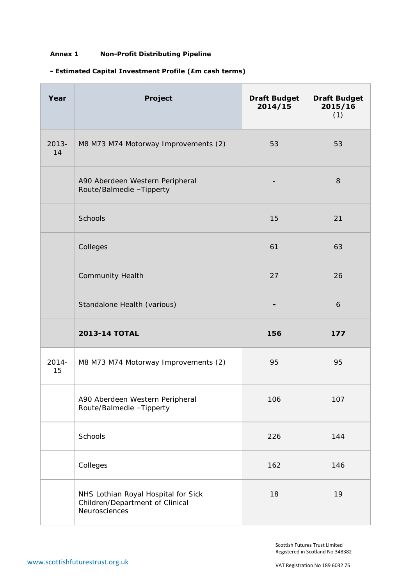### **Annex 1 Non-Profit Distributing Pipeline**

### **- Estimated Capital Investment Profile (£m cash terms)**

| Year           | <b>Project</b>                                                                          | <b>Draft Budget</b><br>2014/15 | <b>Draft Budget</b><br>2015/16<br>(1) |
|----------------|-----------------------------------------------------------------------------------------|--------------------------------|---------------------------------------|
| $2013 -$<br>14 | M8 M73 M74 Motorway Improvements (2)                                                    | 53                             | 53                                    |
|                | A90 Aberdeen Western Peripheral<br>Route/Balmedie -Tipperty                             |                                | $\,8\,$                               |
|                | Schools                                                                                 | 15                             | 21                                    |
|                | Colleges                                                                                | 61                             | 63                                    |
|                | <b>Community Health</b>                                                                 | 27                             | 26                                    |
|                | Standalone Health (various)                                                             |                                | 6                                     |
|                | <b>2013-14 TOTAL</b>                                                                    | 156                            | 177                                   |
| $2014 -$<br>15 | M8 M73 M74 Motorway Improvements (2)                                                    | 95                             | 95                                    |
|                | A90 Aberdeen Western Peripheral<br>Route/Balmedie -Tipperty                             | 106                            | 107                                   |
|                | Schools                                                                                 | 226                            | 144                                   |
|                | Colleges                                                                                | 162                            | 146                                   |
|                | NHS Lothian Royal Hospital for Sick<br>Children/Department of Clinical<br>Neurosciences | 18                             | 19                                    |

Scottish Futures Trust Limited Registered in Scotland No 348382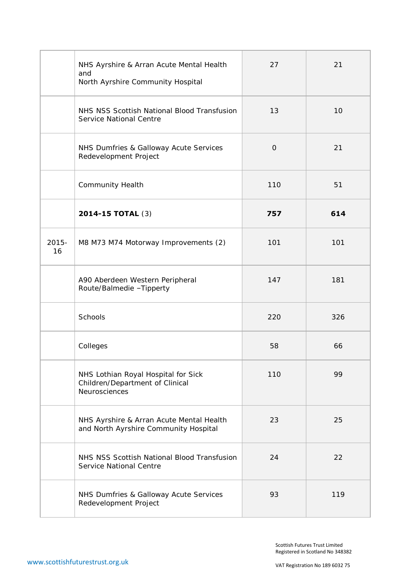|                | NHS Ayrshire & Arran Acute Mental Health<br>and<br>North Ayrshire Community Hospital    | 27       | 21  |
|----------------|-----------------------------------------------------------------------------------------|----------|-----|
|                | NHS NSS Scottish National Blood Transfusion<br>Service National Centre                  | 13       | 10  |
|                | NHS Dumfries & Galloway Acute Services<br>Redevelopment Project                         | $\Omega$ | 21  |
|                | <b>Community Health</b>                                                                 | 110      | 51  |
|                | 2014-15 TOTAL (3)                                                                       | 757      | 614 |
| $2015 -$<br>16 | M8 M73 M74 Motorway Improvements (2)                                                    | 101      | 101 |
|                | A90 Aberdeen Western Peripheral<br>Route/Balmedie -Tipperty                             | 147      | 181 |
|                | Schools                                                                                 | 220      | 326 |
|                | Colleges                                                                                | 58       | 66  |
|                | NHS Lothian Royal Hospital for Sick<br>Children/Department of Clinical<br>Neurosciences | 110      | 99  |
|                | NHS Ayrshire & Arran Acute Mental Health<br>and North Ayrshire Community Hospital       | 23       | 25  |
|                | NHS NSS Scottish National Blood Transfusion<br>Service National Centre                  | 24       | 22  |
|                | NHS Dumfries & Galloway Acute Services<br>Redevelopment Project                         | 93       | 119 |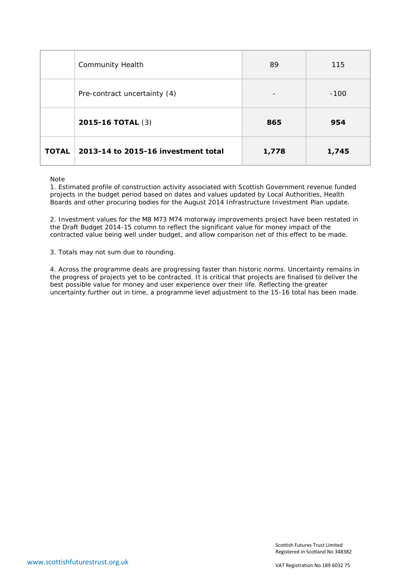|              | Community Health                    | 89    | 115    |
|--------------|-------------------------------------|-------|--------|
|              | Pre-contract uncertainty (4)        |       | $-100$ |
|              | <b>2015-16 TOTAL (3)</b>            | 865   | 954    |
| <b>TOTAL</b> | 2013-14 to 2015-16 investment total | 1,778 | 1,745  |

Note

1. Estimated profile of construction activity associated with Scottish Government revenue funded projects in the budget period based on dates and values updated by Local Authorities, Health Boards and other procuring bodies for the August 2014 Infrastructure Investment Plan update.

2. Investment values for the M8 M73 M74 motorway improvements project have been restated in the Draft Budget 2014-15 column to reflect the significant value for money impact of the contracted value being well under budget, and allow comparison net of this effect to be made.

3. Totals may not sum due to rounding.

4. Across the programme deals are progressing faster than historic norms. Uncertainty remains in the progress of projects yet to be contracted. It is critical that projects are finalised to deliver the best possible value for money and user experience over their life. Reflecting the greater uncertainty further out in time, a programme level adjustment to the 15-16 total has been made.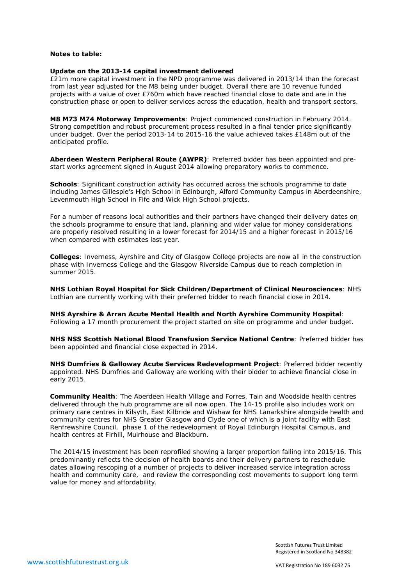#### **Notes to table:**

#### **Update on the 2013-14 capital investment delivered**

£21m more capital investment in the NPD programme was delivered in 2013/14 than the forecast from last year adjusted for the M8 being under budget. Overall there are 10 revenue funded projects with a value of over £760m which have reached financial close to date and are in the construction phase or open to deliver services across the education, health and transport sectors.

**M8 M73 M74 Motorway Improvements**: Project commenced construction in February 2014. Strong competition and robust procurement process resulted in a final tender price significantly under budget. Over the period 2013-14 to 2015-16 the value achieved takes £148m out of the anticipated profile.

**Aberdeen Western Peripheral Route (AWPR)**: Preferred bidder has been appointed and prestart works agreement signed in August 2014 allowing preparatory works to commence.

**Schools**: Significant construction activity has occurred across the schools programme to date including James Gillespie's High School in Edinburgh, Alford Community Campus in Aberdeenshire, Levenmouth High School in Fife and Wick High School projects.

For a number of reasons local authorities and their partners have changed their delivery dates on the schools programme to ensure that land, planning and wider value for money considerations are properly resolved resulting in a lower forecast for 2014/15 and a higher forecast in 2015/16 when compared with estimates last year.

**Colleges**: Inverness, Ayrshire and City of Glasgow College projects are now all in the construction phase with Inverness College and the Glasgow Riverside Campus due to reach completion in summer 2015.

**NHS Lothian Royal Hospital for Sick Children/Department of Clinical Neurosciences**: NHS Lothian are currently working with their preferred bidder to reach financial close in 2014.

**NHS Ayrshire & Arran Acute Mental Health and North Ayrshire Community Hospital**:

Following a 17 month procurement the project started on site on programme and under budget.

**NHS NSS Scottish National Blood Transfusion Service National Centre**: Preferred bidder has been appointed and financial close expected in 2014.

**NHS Dumfries & Galloway Acute Services Redevelopment Project**: Preferred bidder recently appointed. NHS Dumfries and Galloway are working with their bidder to achieve financial close in early 2015.

**Community Health**: The Aberdeen Health Village and Forres, Tain and Woodside health centres delivered through the hub programme are all now open. The 14-15 profile also includes work on primary care centres in Kilsyth, East Kilbride and Wishaw for NHS Lanarkshire alongside health and community centres for NHS Greater Glasgow and Clyde one of which is a joint facility with East Renfrewshire Council, phase 1 of the redevelopment of Royal Edinburgh Hospital Campus, and health centres at Firhill, Muirhouse and Blackburn.

The 2014/15 investment has been reprofiled showing a larger proportion falling into 2015/16. This predominantly reflects the decision of health boards and their delivery partners to reschedule dates allowing rescoping of a number of projects to deliver increased service integration across health and community care, and review the corresponding cost movements to support long term value for money and affordability.